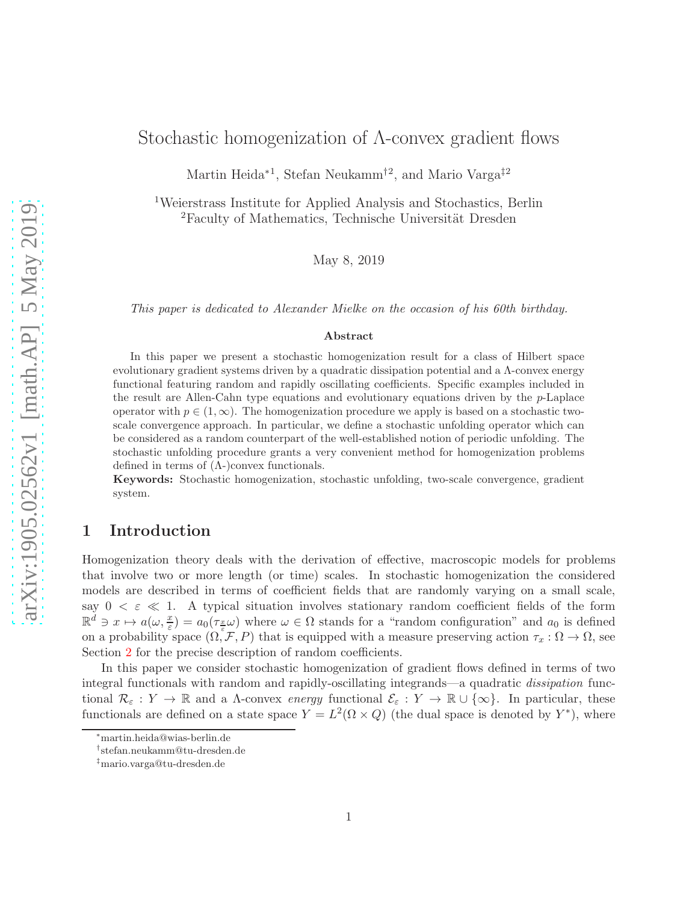# Stochastic homogenization of Λ-convex gradient flows

Martin Heida<sup>∗1</sup>, Stefan Neukamm<sup>†2</sup>, and Mario Varga<sup>‡2</sup>

<sup>1</sup>Weierstrass Institute for Applied Analysis and Stochastics, Berlin  ${}^{2}$ Faculty of Mathematics, Technische Universität Dresden

May 8, 2019

This paper is dedicated to Alexander Mielke on the occasion of his 60th birthday.

#### Abstract

In this paper we present a stochastic homogenization result for a class of Hilbert space evolutionary gradient systems driven by a quadratic dissipation potential and a  $\Lambda$ -convex energy functional featuring random and rapidly oscillating coefficients. Specific examples included in the result are Allen-Cahn type equations and evolutionary equations driven by the p-Laplace operator with  $p \in (1,\infty)$ . The homogenization procedure we apply is based on a stochastic twoscale convergence approach. In particular, we define a stochastic unfolding operator which can be considered as a random counterpart of the well-established notion of periodic unfolding. The stochastic unfolding procedure grants a very convenient method for homogenization problems defined in terms of  $(Λ-)$ convex functionals.

Keywords: Stochastic homogenization, stochastic unfolding, two-scale convergence, gradient system.

## 1 Introduction

Homogenization theory deals with the derivation of effective, macroscopic models for problems that involve two or more length (or time) scales. In stochastic homogenization the considered models are described in terms of coefficient fields that are randomly varying on a small scale, say  $0 < \varepsilon \ll 1$ . A typical situation involves stationary random coefficient fields of the form  $\mathbb{R}^d \ni x \mapsto a(\omega, \frac{x}{\varepsilon}) = a_0(\tau_{\frac{x}{\varepsilon}}\omega)$  where  $\omega \in \Omega$  stands for a "random configuration" and  $a_0$  is defined on a probability space  $(0, \mathcal{F}, P)$  that is equipped with a measure preserving action  $\tau_x : \Omega \to \Omega$ , see Section [2](#page-4-0) for the precise description of random coefficients.

In this paper we consider stochastic homogenization of gradient flows defined in terms of two integral functionals with random and rapidly-oscillating integrands—a quadratic dissipation functional  $\mathcal{R}_{\varepsilon}: Y \to \mathbb{R}$  and a  $\Lambda$ -convex energy functional  $\mathcal{E}_{\varepsilon}: Y \to \mathbb{R} \cup \{\infty\}$ . In particular, these functionals are defined on a state space  $Y = L^2(\Omega \times Q)$  (the dual space is denoted by  $Y^*$ ), where

<sup>∗</sup>martin.heida@wias-berlin.de

<sup>†</sup> stefan.neukamm@tu-dresden.de

<sup>‡</sup>mario.varga@tu-dresden.de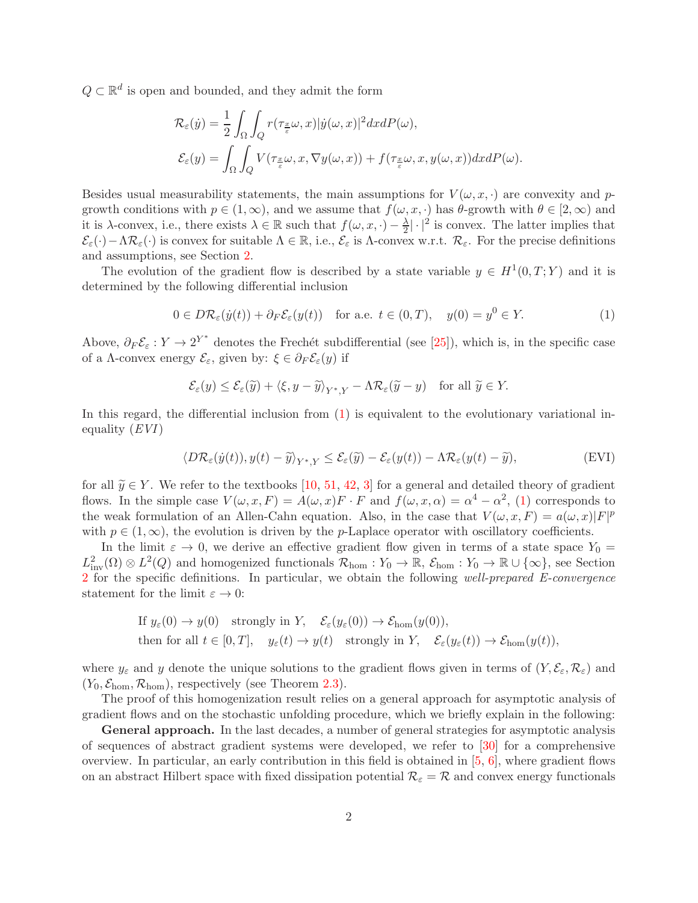$Q \subset \mathbb{R}^d$  is open and bounded, and they admit the form

$$
\begin{aligned} \mathcal{R}_{\varepsilon}(\dot{y}) &= \frac{1}{2} \int_{\Omega} \int_{Q} r(\tau_{\frac{x}{\varepsilon}} \omega, x) |\dot{y}(\omega, x)|^{2} dx dP(\omega), \\ \mathcal{E}_{\varepsilon}(y) &= \int_{\Omega} \int_{Q} V(\tau_{\frac{x}{\varepsilon}} \omega, x, \nabla y(\omega, x)) + f(\tau_{\frac{x}{\varepsilon}} \omega, x, y(\omega, x)) dx dP(\omega). \end{aligned}
$$

Besides usual measurability statements, the main assumptions for  $V(\omega, x, \cdot)$  are convexity and pgrowth conditions with  $p \in (1,\infty)$ , and we assume that  $f(\omega, x, \cdot)$  has  $\theta$ -growth with  $\theta \in [2,\infty)$  and it is  $\lambda$ -convex, i.e., there exists  $\lambda \in \mathbb{R}$  such that  $f(\omega, x, \cdot) - \frac{\lambda}{2}$  $\frac{\lambda}{2}|\cdot|^2$  is convex. The latter implies that  $\mathcal{E}_{\varepsilon}(\cdot)-\Lambda\mathcal{R}_{\varepsilon}(\cdot)$  is convex for suitable  $\Lambda \in \mathbb{R}$ , i.e.,  $\mathcal{E}_{\varepsilon}$  is  $\Lambda$ -convex w.r.t.  $\mathcal{R}_{\varepsilon}$ . For the precise definitions and assumptions, see Section [2.](#page-4-0)

The evolution of the gradient flow is described by a state variable  $y \in H^1(0,T;Y)$  and it is determined by the following differential inclusion

<span id="page-1-0"></span>
$$
0 \in D\mathcal{R}_{\varepsilon}(y(t)) + \partial_F \mathcal{E}_{\varepsilon}(y(t)) \quad \text{for a.e. } t \in (0, T), \quad y(0) = y^0 \in Y. \tag{1}
$$

Above,  $\partial_F \mathcal{E}_{\varepsilon}: Y \to 2^{Y^*}$  denotes the Frechét subdifferential (see [\[25\]](#page-25-0)), which is, in the specific case of a  $\Lambda$ -convex energy  $\mathcal{E}_{\varepsilon}$ , given by:  $\xi \in \partial_F \mathcal{E}_{\varepsilon}(y)$  if

$$
\mathcal{E}_{\varepsilon}(y) \le \mathcal{E}_{\varepsilon}(\widetilde{y}) + \langle \xi, y - \widetilde{y} \rangle_{Y^*,Y} - \Lambda \mathcal{R}_{\varepsilon}(\widetilde{y} - y) \quad \text{for all } \widetilde{y} \in Y.
$$

In this regard, the differential inclusion from [\(1\)](#page-1-0) is equivalent to the evolutionary variational inequality  $(EVI)$ 

<span id="page-1-1"></span>
$$
\langle D\mathcal{R}_{\varepsilon}(\dot{y}(t)), y(t) - \widetilde{y}\rangle_{Y^*,Y} \le \mathcal{E}_{\varepsilon}(\widetilde{y}) - \mathcal{E}_{\varepsilon}(y(t)) - \Lambda \mathcal{R}_{\varepsilon}(y(t) - \widetilde{y}),
$$
 (EVI)

for all  $\widetilde{y} \in Y$ . We refer to the textbooks [\[10,](#page-24-0) [51,](#page-27-0) [42,](#page-26-0) [3\]](#page-24-1) for a general and detailed theory of gradient flows. In the simple case  $V(\omega, x, F) = A(\omega, x)F \cdot F$  and  $f(\omega, x, \alpha) = \alpha^4 - \alpha^2$ , [\(1\)](#page-1-0) corresponds to the weak formulation of an Allen-Cahn equation. Also, in the case that  $V(\omega, x, F) = a(\omega, x)|F|^p$ with  $p \in (1,\infty)$ , the evolution is driven by the p-Laplace operator with oscillatory coefficients.

In the limit  $\varepsilon \to 0$ , we derive an effective gradient flow given in terms of a state space  $Y_0 =$  $L^2_{\text{inv}}(\Omega) \otimes L^2(Q)$  and homogenized functionals  $\mathcal{R}_{\text{hom}} : Y_0 \to \mathbb{R}$ ,  $\mathcal{E}_{\text{hom}} : Y_0 \to \mathbb{R} \cup \{\infty\}$ , see Section [2](#page-4-0) for the specific definitions. In particular, we obtain the following well-prepared E-convergence statement for the limit  $\varepsilon \to 0$ :

If 
$$
y_{\varepsilon}(0) \to y(0)
$$
 strongly in Y,  $\mathcal{E}_{\varepsilon}(y_{\varepsilon}(0)) \to \mathcal{E}_{\text{hom}}(y(0)),$   
then for all  $t \in [0, T]$ ,  $y_{\varepsilon}(t) \to y(t)$  strongly in Y,  $\mathcal{E}_{\varepsilon}(y_{\varepsilon}(t)) \to \mathcal{E}_{\text{hom}}(y(t)),$ 

where  $y_{\varepsilon}$  and y denote the unique solutions to the gradient flows given in terms of  $(Y, \mathcal{E}_{\varepsilon}, \mathcal{R}_{\varepsilon})$  and  $(Y_0, \mathcal{E}_{\text{hom}}, \mathcal{R}_{\text{hom}})$ , respectively (see Theorem [2.3\)](#page-6-0).

The proof of this homogenization result relies on a general approach for asymptotic analysis of gradient flows and on the stochastic unfolding procedure, which we briefly explain in the following:

General approach. In the last decades, a number of general strategies for asymptotic analysis of sequences of abstract gradient systems were developed, we refer to [\[30\]](#page-25-1) for a comprehensive overview. In particular, an early contribution in this field is obtained in [\[5,](#page-24-2) [6\]](#page-24-3), where gradient flows on an abstract Hilbert space with fixed dissipation potential  $\mathcal{R}_{\varepsilon} = \mathcal{R}$  and convex energy functionals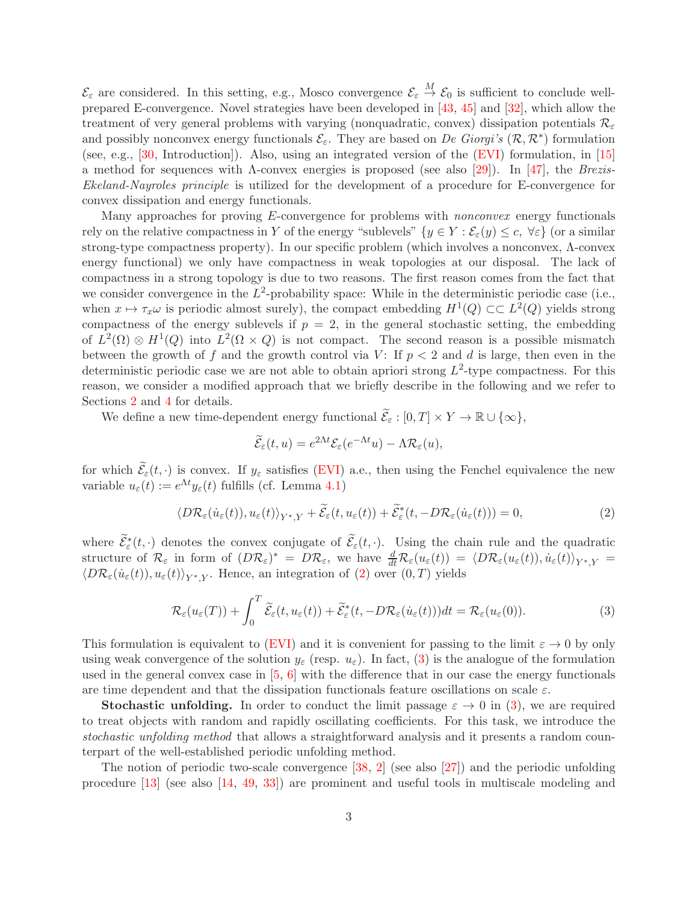$\mathcal{E}_{\varepsilon}$  are considered. In this setting, e.g., Mosco convergence  $\mathcal{E}_{\varepsilon} \stackrel{M}{\to} \mathcal{E}_0$  is sufficient to conclude wellprepared E-convergence. Novel strategies have been developed in [\[43,](#page-26-1) [45\]](#page-26-2) and [\[32\]](#page-26-3), which allow the treatment of very general problems with varying (nonquadratic, convex) dissipation potentials  $\mathcal{R}_{\varepsilon}$ and possibly nonconvex energy functionals  $\mathcal{E}_{\varepsilon}$ . They are based on De Giorgi's  $(\mathcal{R}, \mathcal{R}^*)$  formulation (see, e.g., [\[30,](#page-25-1) Introduction]). Also, using an integrated version of the [\(EVI\)](#page-1-1) formulation, in [\[15\]](#page-25-2) a method for sequences with  $\Lambda$ -convex energies is proposed (see also [\[29\]](#page-25-3)). In [\[47\]](#page-26-4), the Brezis-Ekeland-Nayroles principle is utilized for the development of a procedure for E-convergence for convex dissipation and energy functionals.

Many approaches for proving E-convergence for problems with *nonconvex* energy functionals rely on the relative compactness in Y of the energy "sublevels"  $\{y \in Y : \mathcal{E}_{\varepsilon}(y) \leq c, \forall \varepsilon\}$  (or a similar strong-type compactness property). In our specific problem (which involves a nonconvex, Λ-convex energy functional) we only have compactness in weak topologies at our disposal. The lack of compactness in a strong topology is due to two reasons. The first reason comes from the fact that we consider convergence in the  $L^2$ -probability space: While in the deterministic periodic case (i.e., when  $x \mapsto \tau_x \omega$  is periodic almost surely), the compact embedding  $H^1(Q) \subset\subset L^2(Q)$  yields strong compactness of the energy sublevels if  $p = 2$ , in the general stochastic setting, the embedding of  $L^2(\Omega) \otimes H^1(Q)$  into  $L^2(\Omega \times Q)$  is not compact. The second reason is a possible mismatch between the growth of f and the growth control via V: If  $p < 2$  and d is large, then even in the deterministic periodic case we are not able to obtain apriori strong  $L^2$ -type compactness. For this reason, we consider a modified approach that we briefly describe in the following and we refer to Sections [2](#page-4-0) and [4](#page-15-0) for details.

We define a new time-dependent energy functional  $\widetilde{\mathcal{E}}_{\varepsilon}: [0,T] \times Y \to \mathbb{R} \cup \{\infty\},\$ 

$$
\widetilde{\mathcal{E}}_{\varepsilon}(t,u) = e^{2\Lambda t} \mathcal{E}_{\varepsilon}(e^{-\Lambda t}u) - \Lambda \mathcal{R}_{\varepsilon}(u),
$$

for which  $\widetilde{\mathcal{E}}_{\varepsilon}(t, \cdot)$  is convex. If  $y_{\varepsilon}$  satisfies [\(EVI\)](#page-1-1) a.e., then using the Fenchel equivalence the new variable  $u_{\varepsilon}(t) := e^{\Lambda t} y_{\varepsilon}(t)$  fulfills (cf. Lemma [4.1\)](#page-15-1)

<span id="page-2-0"></span>
$$
\langle D\mathcal{R}_{\varepsilon}(\dot{u}_{\varepsilon}(t)), u_{\varepsilon}(t)\rangle_{Y^*,Y} + \widetilde{\mathcal{E}}_{\varepsilon}(t, u_{\varepsilon}(t)) + \widetilde{\mathcal{E}}_{\varepsilon}^*(t, -D\mathcal{R}_{\varepsilon}(\dot{u}_{\varepsilon}(t))) = 0, \tag{2}
$$

where  $\tilde{\mathcal{E}}_{\varepsilon}^*(t, \cdot)$  denotes the convex conjugate of  $\tilde{\mathcal{E}}_{\varepsilon}(t, \cdot)$ . Using the chain rule and the quadratic structure of  $\mathcal{R}_{\varepsilon}$  in form of  $(D\mathcal{R}_{\varepsilon})^* = D\mathcal{R}_{\varepsilon}$ , we have  $\frac{d}{dt}\mathcal{R}_{\varepsilon}(u_{\varepsilon}(t)) = \langle D\mathcal{R}_{\varepsilon}(u_{\varepsilon}(t)), \dot{u}_{\varepsilon}(t) \rangle_{Y^*,Y} =$  $\langle D\mathcal{R}_{\varepsilon}(\dot{u}_{\varepsilon}(t)), u_{\varepsilon}(t)\rangle_{Y^*Y}$ . Hence, an integration of [\(2\)](#page-2-0) over  $(0, T)$  yields

<span id="page-2-1"></span>
$$
\mathcal{R}_{\varepsilon}(u_{\varepsilon}(T)) + \int_{0}^{T} \widetilde{\mathcal{E}}_{\varepsilon}(t, u_{\varepsilon}(t)) + \widetilde{\mathcal{E}}_{\varepsilon}^{*}(t, -D\mathcal{R}_{\varepsilon}(\dot{u}_{\varepsilon}(t)))dt = \mathcal{R}_{\varepsilon}(u_{\varepsilon}(0)).
$$
\n(3)

This formulation is equivalent to [\(EVI\)](#page-1-1) and it is convenient for passing to the limit  $\varepsilon \to 0$  by only using weak convergence of the solution  $y_{\varepsilon}$  (resp.  $u_{\varepsilon}$ ). In fact, [\(3\)](#page-2-1) is the analogue of the formulation used in the general convex case in [\[5,](#page-24-2) [6\]](#page-24-3) with the difference that in our case the energy functionals are time dependent and that the dissipation functionals feature oscillations on scale  $\varepsilon$ .

**Stochastic unfolding.** In order to conduct the limit passage  $\varepsilon \to 0$  in [\(3\)](#page-2-1), we are required to treat objects with random and rapidly oscillating coefficients. For this task, we introduce the stochastic unfolding method that allows a straightforward analysis and it presents a random counterpart of the well-established periodic unfolding method.

The notion of periodic two-scale convergence [\[38,](#page-26-5) [2\]](#page-24-4) (see also [\[27\]](#page-25-4)) and the periodic unfolding procedure [\[13\]](#page-24-5) (see also [\[14,](#page-25-5) [49,](#page-27-1) [33\]](#page-26-6)) are prominent and useful tools in multiscale modeling and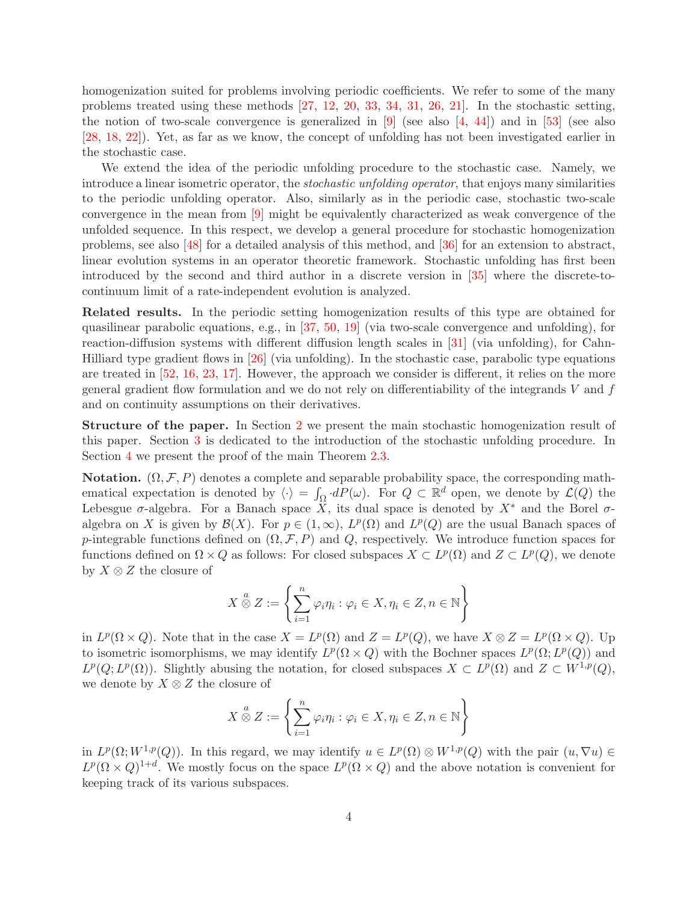homogenization suited for problems involving periodic coefficients. We refer to some of the many problems treated using these methods [\[27,](#page-25-4) [12,](#page-24-6) [20,](#page-25-6) [33,](#page-26-6) [34,](#page-26-7) [31,](#page-26-8) [26,](#page-25-7) [21\]](#page-25-8). In the stochastic setting, the notion of two-scale convergence is generalized in  $[9]$  (see also  $[4, 44]$  $[4, 44]$ ) and in  $[53]$  (see also [\[28,](#page-25-9) [18,](#page-25-10) [22\]](#page-25-11)). Yet, as far as we know, the concept of unfolding has not been investigated earlier in the stochastic case.

We extend the idea of the periodic unfolding procedure to the stochastic case. Namely, we introduce a linear isometric operator, the stochastic unfolding operator, that enjoys many similarities to the periodic unfolding operator. Also, similarly as in the periodic case, stochastic two-scale convergence in the mean from [\[9\]](#page-24-7) might be equivalently characterized as weak convergence of the unfolded sequence. In this respect, we develop a general procedure for stochastic homogenization problems, see also [\[48\]](#page-27-3) for a detailed analysis of this method, and [\[36\]](#page-26-10) for an extension to abstract, linear evolution systems in an operator theoretic framework. Stochastic unfolding has first been introduced by the second and third author in a discrete version in [\[35\]](#page-26-11) where the discrete-tocontinuum limit of a rate-independent evolution is analyzed.

Related results. In the periodic setting homogenization results of this type are obtained for quasilinear parabolic equations, e.g., in [\[37,](#page-26-12) [50,](#page-27-4) [19\]](#page-25-12) (via two-scale convergence and unfolding), for reaction-diffusion systems with different diffusion length scales in [\[31\]](#page-26-8) (via unfolding), for Cahn-Hilliard type gradient flows in [\[26\]](#page-25-7) (via unfolding). In the stochastic case, parabolic type equations are treated in [\[52,](#page-27-5) [16,](#page-25-13) [23,](#page-25-14) [17\]](#page-25-15). However, the approach we consider is different, it relies on the more general gradient flow formulation and we do not rely on differentiability of the integrands  $V$  and  $f$ and on continuity assumptions on their derivatives.

Structure of the paper. In Section [2](#page-4-0) we present the main stochastic homogenization result of this paper. Section [3](#page-7-0) is dedicated to the introduction of the stochastic unfolding procedure. In Section [4](#page-15-0) we present the proof of the main Theorem [2.3.](#page-6-0)

**Notation.**  $(\Omega, \mathcal{F}, P)$  denotes a complete and separable probability space, the corresponding mathematical expectation is denoted by  $\langle \cdot \rangle = \int_{\Omega} dP(\omega)$ . For  $Q \subset \mathbb{R}^d$  open, we denote by  $\mathcal{L}(Q)$  the Lebesgue  $\sigma$ -algebra. For a Banach space X, its dual space is denoted by  $X^*$  and the Borel  $\sigma$ algebra on X is given by  $\mathcal{B}(X)$ . For  $p \in (1,\infty)$ ,  $L^p(\Omega)$  and  $L^p(Q)$  are the usual Banach spaces of p-integrable functions defined on  $(\Omega, \mathcal{F}, P)$  and Q, respectively. We introduce function spaces for functions defined on  $\Omega \times Q$  as follows: For closed subspaces  $X \subset L^p(\Omega)$  and  $Z \subset L^p(Q)$ , we denote by  $X \otimes Z$  the closure of

$$
X \overset{a}{\otimes} Z := \left\{ \sum_{i=1}^{n} \varphi_i \eta_i : \varphi_i \in X, \eta_i \in Z, n \in \mathbb{N} \right\}
$$

in  $L^p(\Omega \times Q)$ . Note that in the case  $X = L^p(\Omega)$  and  $Z = L^p(Q)$ , we have  $X \otimes Z = L^p(\Omega \times Q)$ . Up to isometric isomorphisms, we may identify  $L^p(\Omega \times Q)$  with the Bochner spaces  $L^p(\Omega; L^p(Q))$  and  $L^p(Q; L^p(\Omega))$ . Slightly abusing the notation, for closed subspaces  $X \subset L^p(\Omega)$  and  $Z \subset W^{1,p}(Q)$ , we denote by  $X \otimes Z$  the closure of

$$
X \overset{a}{\otimes} Z := \left\{ \sum_{i=1}^{n} \varphi_i \eta_i : \varphi_i \in X, \eta_i \in Z, n \in \mathbb{N} \right\}
$$

in  $L^p(\Omega; W^{1,p}(Q))$ . In this regard, we may identify  $u \in L^p(\Omega) \otimes W^{1,p}(Q)$  with the pair  $(u, \nabla u) \in$  $L^p(\Omega \times Q)^{1+d}$ . We mostly focus on the space  $L^p(\Omega \times Q)$  and the above notation is convenient for keeping track of its various subspaces.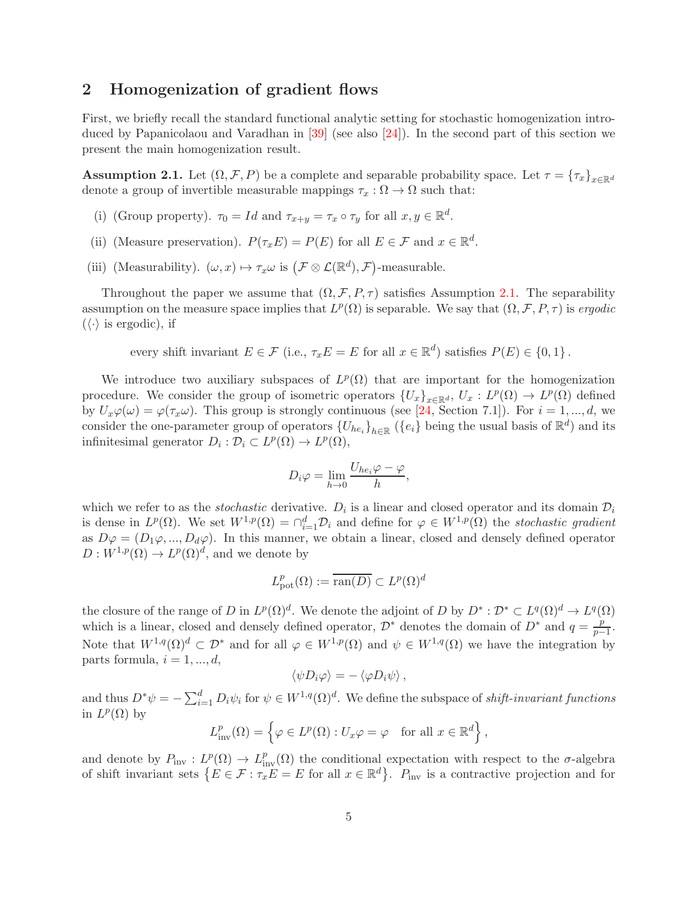## <span id="page-4-0"></span>2 Homogenization of gradient flows

First, we briefly recall the standard functional analytic setting for stochastic homogenization introduced by Papanicolaou and Varadhan in [\[39\]](#page-26-13) (see also [\[24\]](#page-25-16)). In the second part of this section we present the main homogenization result.

<span id="page-4-1"></span>**Assumption 2.1.** Let  $(\Omega, \mathcal{F}, P)$  be a complete and separable probability space. Let  $\tau = {\tau_x}_{x \in \mathbb{R}^d}$ denote a group of invertible measurable mappings  $\tau_x : \Omega \to \Omega$  such that:

- (i) (Group property).  $\tau_0 = Id$  and  $\tau_{x+y} = \tau_x \circ \tau_y$  for all  $x, y \in \mathbb{R}^d$ .
- (ii) (Measure preservation).  $P(\tau_x E) = P(E)$  for all  $E \in \mathcal{F}$  and  $x \in \mathbb{R}^d$ .
- (iii) (Measurability).  $(\omega, x) \mapsto \tau_x \omega$  is  $(\mathcal{F} \otimes \mathcal{L}(\mathbb{R}^d), \mathcal{F})$ -measurable.

Throughout the paper we assume that  $(\Omega, \mathcal{F}, P, \tau)$  satisfies Assumption [2.1.](#page-4-1) The separability assumption on the measure space implies that  $L^p(\Omega)$  is separable. We say that  $(\Omega, \mathcal{F}, P, \tau)$  is ergodic  $(\langle \cdot \rangle)$  is ergodic), if

every shift invariant  $E \in \mathcal{F}$  (i.e.,  $\tau_x E = E$  for all  $x \in \mathbb{R}^d$ ) satisfies  $P(E) \in \{0, 1\}$ .

We introduce two auxiliary subspaces of  $L^p(\Omega)$  that are important for the homogenization procedure. We consider the group of isometric operators  $\{U_x\}_{x\in\mathbb{R}^d}$ ,  $U_x: L^p(\Omega) \to L^p(\Omega)$  defined by  $U_x\varphi(\omega) = \varphi(\tau_x\omega)$ . This group is strongly continuous (see [\[24,](#page-25-16) Section 7.1]). For  $i = 1, ..., d$ , we consider the one-parameter group of operators  $\{U_{he_i}\}_{h\in\mathbb{R}}$  ( $\{e_i\}$  being the usual basis of  $\mathbb{R}^d$ ) and its infinitesimal generator  $D_i : \mathcal{D}_i \subset L^p(\Omega) \to L^p(\Omega)$ ,

$$
D_i \varphi = \lim_{h \to 0} \frac{U_{he_i} \varphi - \varphi}{h},
$$

which we refer to as the *stochastic* derivative.  $D_i$  is a linear and closed operator and its domain  $D_i$ is dense in  $L^p(\Omega)$ . We set  $W^{1,p}(\Omega) = \bigcap_{i=1}^d \mathcal{D}_i$  and define for  $\varphi \in W^{1,p}(\Omega)$  the stochastic gradient as  $D\varphi = (D_1\varphi, ..., D_d\varphi)$ . In this manner, we obtain a linear, closed and densely defined operator  $D: W^{1,p}(\Omega) \to L^p(\Omega)^d$ , and we denote by

$$
L^p_{{\mathrm{pot}}}(\Omega):=\overline{{\mathrm{ran}}(D)}\subset L^p(\Omega)^d
$$

the closure of the range of D in  $L^p(\Omega)^d$ . We denote the adjoint of D by  $D^*:\mathcal{D}^*\subset L^q(\Omega)^d\to L^q(\Omega)$ which is a linear, closed and densely defined operator,  $\mathcal{D}^*$  denotes the domain of  $D^*$  and  $q = \frac{p}{n-1}$  $\frac{p}{p-1}$ . Note that  $W^{1,q}(\Omega)^d \subset \mathcal{D}^*$  and for all  $\varphi \in W^{1,p}(\Omega)$  and  $\psi \in W^{1,q}(\Omega)$  we have the integration by parts formula,  $i = 1, ..., d$ ,

$$
\langle \psi D_i \varphi \rangle = - \langle \varphi D_i \psi \rangle \, ,
$$

and thus  $D^*\psi = -\sum_{i=1}^d D_i\psi_i$  for  $\psi \in W^{1,q}(\Omega)^d$ . We define the subspace of *shift-invariant functions* in  $L^p(\Omega)$  by

$$
L_{\text{inv}}^p(\Omega) = \left\{ \varphi \in L^p(\Omega) : U_x \varphi = \varphi \quad \text{for all } x \in \mathbb{R}^d \right\},\
$$

and denote by  $P_{\text{inv}}: L^p(\Omega) \to L^p_{\text{inv}}(\Omega)$  the conditional expectation with respect to the  $\sigma$ -algebra of shift invariant sets  $\{E \in \mathcal{F} : \tau_x E = E \text{ for all } x \in \mathbb{R}^d\}$ .  $P_{\text{inv}}$  is a contractive projection and for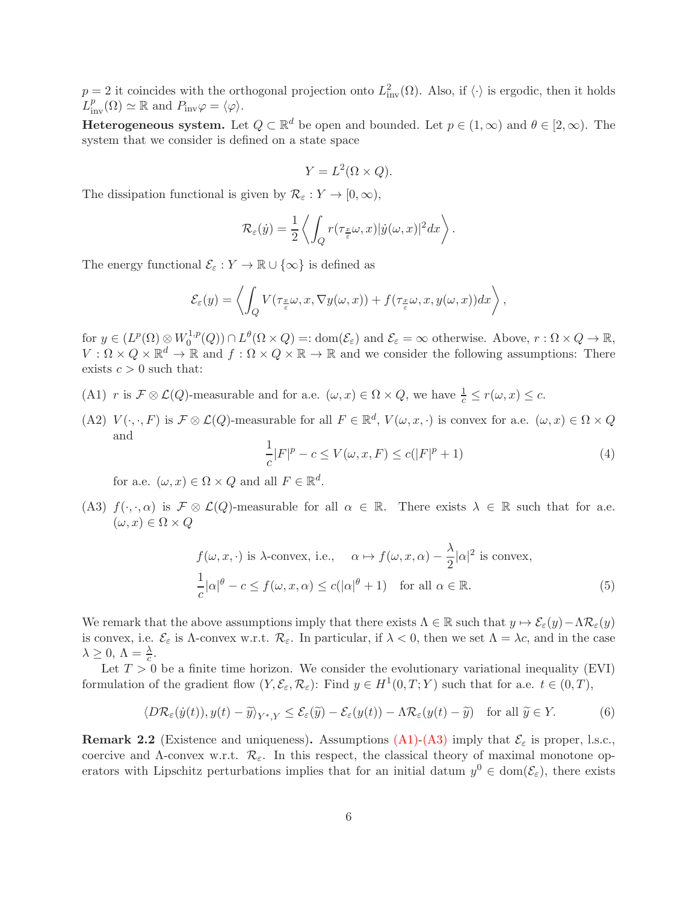$p = 2$  it coincides with the orthogonal projection onto  $L^2_{\text{inv}}(\Omega)$ . Also, if  $\langle \cdot \rangle$  is ergodic, then it holds  $L^p_{\text{inv}}(\Omega) \simeq \mathbb{R}$  and  $P_{\text{inv}}\varphi = \langle \varphi \rangle$ .

**Heterogeneous system.** Let  $Q \subset \mathbb{R}^d$  be open and bounded. Let  $p \in (1,\infty)$  and  $\theta \in [2,\infty)$ . The system that we consider is defined on a state space

$$
Y = L^2(\Omega \times Q).
$$

The dissipation functional is given by  $\mathcal{R}_{\varepsilon}: Y \to [0, \infty)$ ,

$$
\mathcal{R}_{\varepsilon}(\dot{y}) = \frac{1}{2} \left\langle \int_Q r(\tau_{\frac{x}{\varepsilon}}\omega, x) |\dot{y}(\omega, x)|^2 dx \right\rangle.
$$

The energy functional  $\mathcal{E}_{\varepsilon}: Y \to \mathbb{R} \cup \{\infty\}$  is defined as

$$
\mathcal{E}_{\varepsilon}(y) = \left\langle \int_{Q} V(\tau_{\frac{x}{\varepsilon}}\omega, x, \nabla y(\omega, x)) + f(\tau_{\frac{x}{\varepsilon}}\omega, x, y(\omega, x))dx \right\rangle,
$$

for  $y \in (L^p(\Omega) \otimes W_0^{1,p})$  $\mathcal{O}_0^{1,p}(Q)$   $\cap$   $L^{\theta}(\Omega \times Q) =:$  dom $(\mathcal{E}_{\varepsilon})$  and  $\mathcal{E}_{\varepsilon} = \infty$  otherwise. Above,  $r : \Omega \times Q \to \mathbb{R}$ ,  $V: \Omega \times Q \times \mathbb{R}^d \to \mathbb{R}$  and  $f: \Omega \times Q \times \mathbb{R} \to \mathbb{R}$  and we consider the following assumptions: There exists  $c > 0$  such that:

- <span id="page-5-0"></span>(A1) r is  $\mathcal{F} \otimes \mathcal{L}(Q)$ -measurable and for a.e.  $(\omega, x) \in \Omega \times Q$ , we have  $\frac{1}{c} \leq r(\omega, x) \leq c$ .
- (A2)  $V(\cdot, \cdot, F)$  is  $\mathcal{F} \otimes \mathcal{L}(Q)$ -measurable for all  $F \in \mathbb{R}^d$ ,  $V(\omega, x, \cdot)$  is convex for a.e.  $(\omega, x) \in \Omega \times Q$ and

<span id="page-5-4"></span><span id="page-5-3"></span>
$$
\frac{1}{c}|F|^p - c \le V(\omega, x, F) \le c(|F|^p + 1)
$$
\n<sup>(4)</sup>

for a.e.  $(\omega, x) \in \Omega \times Q$  and all  $F \in \mathbb{R}^d$ .

<span id="page-5-1"></span>(A3)  $f(\cdot,\cdot,\alpha)$  is  $\mathcal{F} \otimes \mathcal{L}(Q)$ -measurable for all  $\alpha \in \mathbb{R}$ . There exists  $\lambda \in \mathbb{R}$  such that for a.e.  $(\omega, x) \in \Omega \times Q$ 

$$
f(\omega, x, \cdot) \text{ is } \lambda\text{-convex, i.e., } \alpha \mapsto f(\omega, x, \alpha) - \frac{\lambda}{2} |\alpha|^2 \text{ is convex,}
$$
  

$$
\frac{1}{c} |\alpha|^{\theta} - c \le f(\omega, x, \alpha) \le c(|\alpha|^{\theta} + 1) \quad \text{for all } \alpha \in \mathbb{R}.
$$
 (5)

We remark that the above assumptions imply that there exists  $\Lambda \in \mathbb{R}$  such that  $y \mapsto \mathcal{E}_{\varepsilon}(y)-\Lambda \mathcal{R}_{\varepsilon}(y)$ is convex, i.e.  $\mathcal{E}_{\varepsilon}$  is Λ-convex w.r.t.  $\mathcal{R}_{\varepsilon}$ . In particular, if  $\lambda < 0$ , then we set  $\Lambda = \lambda c$ , and in the case  $\lambda \geq 0, \, \Lambda = \frac{\lambda}{c}.$ 

Let  $T > 0$  be a finite time horizon. We consider the evolutionary variational inequality (EVI) formulation of the gradient flow  $(Y, \mathcal{E}_{\varepsilon}, \mathcal{R}_{\varepsilon})$ : Find  $y \in H^1(0,T;Y)$  such that for a.e.  $t \in (0,T)$ ,

<span id="page-5-2"></span>
$$
\langle D\mathcal{R}_{\varepsilon}(\dot{y}(t)), y(t) - \tilde{y}\rangle_{Y^*,Y} \le \mathcal{E}_{\varepsilon}(\tilde{y}) - \mathcal{E}_{\varepsilon}(y(t)) - \Lambda \mathcal{R}_{\varepsilon}(y(t) - \tilde{y}) \quad \text{for all } \tilde{y} \in Y. \tag{6}
$$

**Remark 2.2** (Existence and uniqueness). Assumptions [\(A1\)](#page-5-0)[-\(A3\)](#page-5-1) imply that  $\mathcal{E}_{\varepsilon}$  is proper, l.s.c., coercive and  $\Lambda$ -convex w.r.t.  $\mathcal{R}_{\varepsilon}$ . In this respect, the classical theory of maximal monotone operators with Lipschitz perturbations implies that for an initial datum  $y^0 \in \text{dom}(\mathcal{E}_{\varepsilon})$ , there exists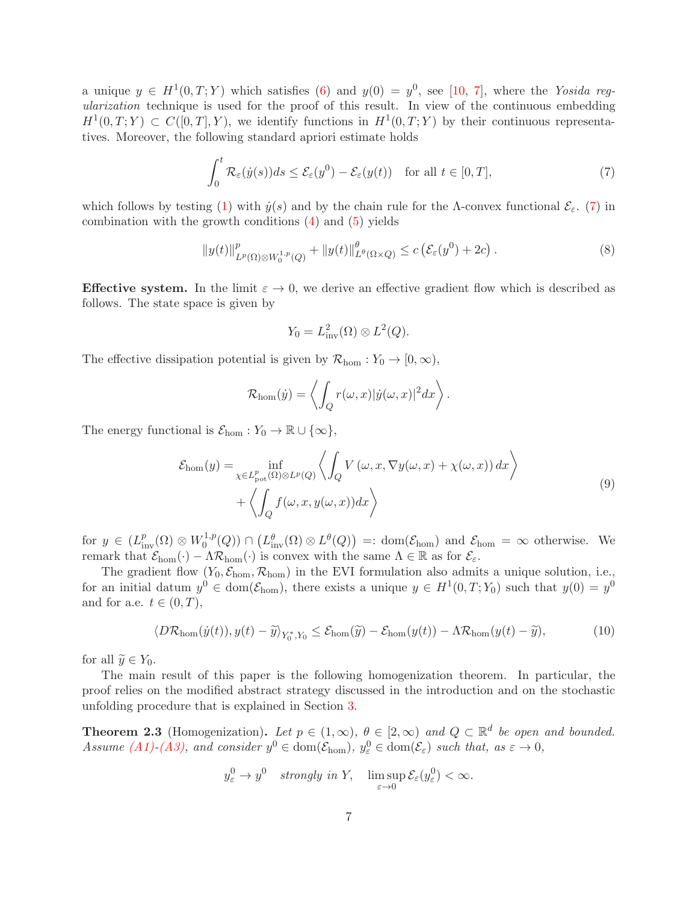a unique  $y \in H^1(0,T;Y)$  which satisfies [\(6\)](#page-5-2) and  $y(0) = y^0$ , see [\[10,](#page-24-0) [7\]](#page-24-9), where the Yosida regularization technique is used for the proof of this result. In view of the continuous embedding  $H^1(0,T;Y) \subset C([0,T],Y)$ , we identify functions in  $H^1(0,T;Y)$  by their continuous representatives. Moreover, the following standard apriori estimate holds

<span id="page-6-1"></span>
$$
\int_0^t \mathcal{R}_{\varepsilon}(y(s))ds \le \mathcal{E}_{\varepsilon}(y^0) - \mathcal{E}_{\varepsilon}(y(t)) \quad \text{for all } t \in [0, T],
$$
\n(7)

which follows by testing [\(1\)](#page-1-0) with  $\dot{y}(s)$  and by the chain rule for the Λ-convex functional  $\mathcal{E}_{\varepsilon}$ . [\(7\)](#page-6-1) in combination with the growth conditions  $(4)$  and  $(5)$  yields

<span id="page-6-3"></span>
$$
||y(t)||_{L^p(\Omega)\otimes W_0^{1,p}(Q)}^p + ||y(t)||_{L^{\theta}(\Omega\times Q)}^{\theta} \le c \left( \mathcal{E}_{\varepsilon}(y^0) + 2c \right). \tag{8}
$$

**Effective system.** In the limit  $\varepsilon \to 0$ , we derive an effective gradient flow which is described as follows. The state space is given by

$$
Y_0 = L^2_{\text{inv}}(\Omega) \otimes L^2(Q).
$$

The effective dissipation potential is given by  $\mathcal{R}_{\text{hom}}: Y_0 \to [0,\infty)$ ,

$$
\mathcal{R}_{\text{hom}}(\dot{y}) = \left\langle \int_{Q} r(\omega, x) |\dot{y}(\omega, x)|^{2} dx \right\rangle.
$$

The energy functional is  $\mathcal{E}_{\text{hom}} : Y_0 \to \mathbb{R} \cup \{\infty\},\$ 

$$
\mathcal{E}_{\text{hom}}(y) = \inf_{\chi \in L_{\text{pot}}^{p}(\Omega) \otimes L^{p}(Q)} \left\langle \int_{Q} V(\omega, x, \nabla y(\omega, x) + \chi(\omega, x)) dx \right\rangle + \left\langle \int_{Q} f(\omega, x, y(\omega, x)) dx \right\rangle
$$
\n(9)

for  $y \in (L^p_{\text{inv}}(\Omega) \otimes W_0^{1,p})$  $L_0^{1,p}(Q)$   $\cap$   $\big(L_{\text{inv}}^{\theta}(\Omega) \otimes L^{\theta}(Q)\big) =: \text{dom}(\mathcal{E}_{\text{hom}})$  and  $\mathcal{E}_{\text{hom}} = \infty$  otherwise. We remark that  $\mathcal{E}_{\text{hom}}(\cdot) - \Lambda \mathcal{R}_{\text{hom}}(\cdot)$  is convex with the same  $\Lambda \in \mathbb{R}$  as for  $\mathcal{E}_{\varepsilon}$ .

The gradient flow  $(Y_0, \mathcal{E}_{\text{hom}}, \mathcal{R}_{\text{hom}})$  in the EVI formulation also admits a unique solution, i.e., for an initial datum  $y^0 \in \text{dom}(\mathcal{E}_{\text{hom}})$ , there exists a unique  $y \in H^1(0,T; Y_0)$  such that  $y(0) = y^0$ and for a.e.  $t \in (0, T)$ ,

<span id="page-6-2"></span>
$$
\langle D\mathcal{R}_{\text{hom}}(\dot{y}(t)), y(t) - \widetilde{y}\rangle_{Y_0^*, Y_0} \le \mathcal{E}_{\text{hom}}(\widetilde{y}) - \mathcal{E}_{\text{hom}}(y(t)) - \Lambda \mathcal{R}_{\text{hom}}(y(t) - \widetilde{y}),\tag{10}
$$

for all  $\widetilde{y} \in Y_0$ .

The main result of this paper is the following homogenization theorem. In particular, the proof relies on the modified abstract strategy discussed in the introduction and on the stochastic unfolding procedure that is explained in Section [3.](#page-7-0)

<span id="page-6-0"></span>**Theorem 2.3** (Homogenization). Let  $p \in (1,\infty)$ ,  $\theta \in [2,\infty)$  and  $Q \subset \mathbb{R}^d$  be open and bounded. Assume [\(A1\)](#page-5-0)[-\(A3\),](#page-5-1) and consider  $y^0 \in \text{dom}(\mathcal{E}_{\text{hom}})$ ,  $y^0_{\varepsilon} \in \text{dom}(\mathcal{E}_{\varepsilon})$  such that, as  $\varepsilon \to 0$ ,

$$
y_{\varepsilon}^{0} \to y^{0}
$$
 strongly in Y,  $\limsup_{\varepsilon \to 0} \mathcal{E}_{\varepsilon}(y_{\varepsilon}^{0}) < \infty$ .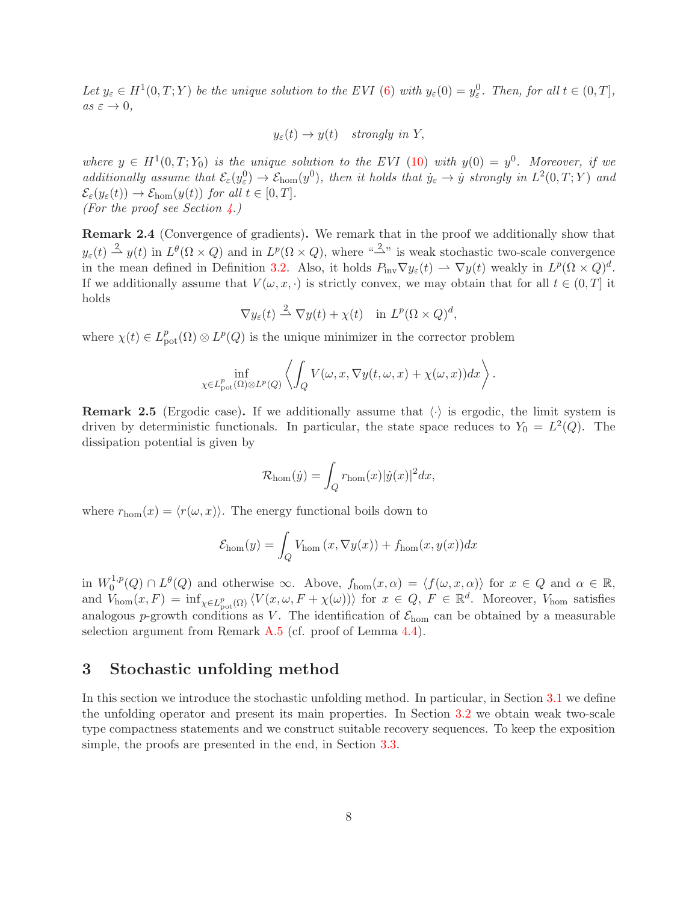Let  $y_{\varepsilon} \in H^1(0,T;Y)$  be the unique solution to the EVI [\(6\)](#page-5-2) with  $y_{\varepsilon}(0) = y_{\varepsilon}^0$ . Then, for all  $t \in (0,T]$ ,  $as \varepsilon \to 0,$ 

$$
y_{\varepsilon}(t) \to y(t)
$$
 strongly in Y,

where  $y oldsymbol{\in} H^1(0,T;Y_0)$  is the unique solution to the EVI [\(10\)](#page-6-2) with  $y(0) = y^0$ . Moreover, if we additionally assume that  $\mathcal{E}_{\varepsilon}(y_{\varepsilon}^0) \to \mathcal{E}_{\text{hom}}(y^0)$ , then it holds that  $\dot{y}_{\varepsilon} \to \dot{y}$  strongly in  $L^2(0,T;Y)$  and  $\mathcal{E}_{\varepsilon}(y_{\varepsilon}(t)) \to \mathcal{E}_{\text{hom}}(y(t))$  for all  $t \in [0, T]$ . (For the proof see Section  $\angle$ .)

Remark 2.4 (Convergence of gradients). We remark that in the proof we additionally show that  $y_{\varepsilon}(t) \stackrel{2}{\rightharpoonup} y(t)$  in  $L^{\theta}(\Omega \times Q)$  and in  $L^p(\Omega \times Q)$ , where  $\sqrt{2}$  is weak stochastic two-scale convergence in the mean defined in Definition [3.2.](#page-8-0) Also, it holds  $P_{\text{inv}} \nabla y_{\varepsilon}(t) \rightharpoonup \nabla y(t)$  weakly in  $L^p(\Omega \times Q)^d$ . If we additionally assume that  $V(\omega, x, \cdot)$  is strictly convex, we may obtain that for all  $t \in (0, T]$  it holds

$$
\nabla y_{\varepsilon}(t) \stackrel{2}{\rightharpoonup} \nabla y(t) + \chi(t) \quad \text{in } L^p(\Omega \times Q)^d,
$$

where  $\chi(t) \in L^p_{\text{pot}}(\Omega) \otimes L^p(Q)$  is the unique minimizer in the corrector problem

$$
\inf_{\chi \in L^p_{\rm pot}(\Omega)\otimes L^p(Q)} \left\langle \int_Q V(\omega, x, \nabla y(t, \omega, x) + \chi(\omega, x)) dx \right\rangle.
$$

**Remark 2.5** (Ergodic case). If we additionally assume that  $\langle \cdot \rangle$  is ergodic, the limit system is driven by deterministic functionals. In particular, the state space reduces to  $Y_0 = L^2(Q)$ . The dissipation potential is given by

$$
\mathcal{R}_{\text{hom}}(\dot{y}) = \int_{Q} r_{\text{hom}}(x) |\dot{y}(x)|^2 dx,
$$

where  $r_{\text{hom}}(x) = \langle r(\omega, x) \rangle$ . The energy functional boils down to

$$
\mathcal{E}_{\text{hom}}(y) = \int_{Q} V_{\text{hom}}(x, \nabla y(x)) + f_{\text{hom}}(x, y(x))dx
$$

in  $W_0^{1,p}$  $\chi_0^{1,p}(Q) \cap L^{\theta}(Q)$  and otherwise  $\infty$ . Above,  $f_{\text{hom}}(x, \alpha) = \langle f(\omega, x, \alpha) \rangle$  for  $x \in Q$  and  $\alpha \in \mathbb{R}$ , and  $V_{\text{hom}}(x, F) = \inf_{\chi \in L^p_{\text{pot}}(\Omega)} \langle V(x, \omega, F + \chi(\omega)) \rangle$  for  $x \in Q, F \in \mathbb{R}^d$ . Moreover,  $V_{\text{hom}}$  satisfies analogous p-growth conditions as V. The identification of  $\mathcal{E}_{\text{hom}}$  can be obtained by a measurable selection argument from Remark [A.5](#page-23-0) (cf. proof of Lemma [4.4\)](#page-17-0).

### <span id="page-7-0"></span>3 Stochastic unfolding method

In this section we introduce the stochastic unfolding method. In particular, in Section [3.1](#page-8-1) we define the unfolding operator and present its main properties. In Section [3.2](#page-9-0) we obtain weak two-scale type compactness statements and we construct suitable recovery sequences. To keep the exposition simple, the proofs are presented in the end, in Section [3.3.](#page-10-0)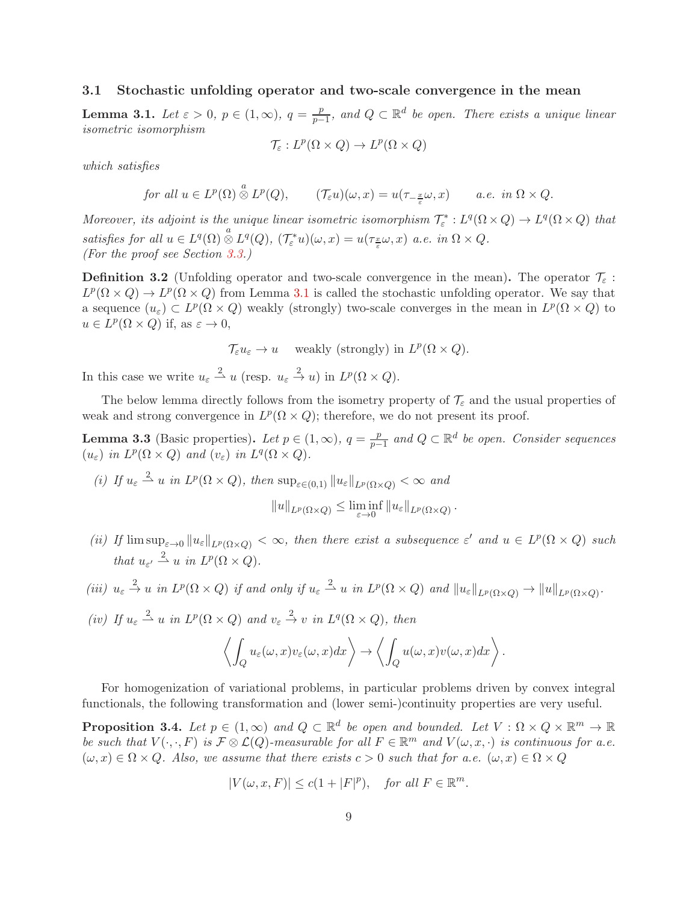#### <span id="page-8-1"></span>3.1 Stochastic unfolding operator and two-scale convergence in the mean

<span id="page-8-2"></span>Lemma 3.1. Let  $\varepsilon > 0$ ,  $p \in (1, \infty)$ ,  $q = \frac{p}{n-1}$  $\frac{p}{p-1}$ , and  $Q \subset \mathbb{R}^d$  be open. There exists a unique linear isometric isomorphism

$$
\mathcal{T}_{\varepsilon}: L^p(\Omega\times Q)\to L^p(\Omega\times Q)
$$

which satisfies

for all 
$$
u \in L^p(\Omega) \overset{a}{\otimes} L^p(Q)
$$
,  $(\mathcal{T}_{\varepsilon}u)(\omega, x) = u(\tau_{-\frac{x}{\varepsilon}}\omega, x)$  a.e. in  $\Omega \times Q$ .

Moreover, its adjoint is the unique linear isometric isomorphism  $\mathcal{T}_{\varepsilon}^*: L^q(\Omega \times Q) \to L^q(\Omega \times Q)$  that satisfies for all  $u \in L^q(\Omega) \overset{a}{\otimes} L^q(Q)$ ,  $(\mathcal{T}_{\varepsilon}^* u)(\omega, x) = u(\tau_{\frac{x}{\varepsilon}} \omega, x)$  a.e. in  $\Omega \times Q$ . (For the proof see Section [3.3.](#page-10-0))

<span id="page-8-0"></span>**Definition 3.2** (Unfolding operator and two-scale convergence in the mean). The operator  $\mathcal{T}_{\epsilon}$ :  $L^p(\Omega \times Q) \to L^p(\Omega \times Q)$  from Lemma [3.1](#page-8-2) is called the stochastic unfolding operator. We say that a sequence  $(u_{\varepsilon}) \subset L^p(\Omega \times Q)$  weakly (strongly) two-scale converges in the mean in  $L^p(\Omega \times Q)$  to  $u \in L^p(\Omega \times Q)$  if, as  $\varepsilon \to 0$ ,

 $\mathcal{T}_{\varepsilon} u_{\varepsilon} \to u$  weakly (strongly) in  $L^p(\Omega \times Q)$ .

In this case we write  $u_{\varepsilon} \stackrel{2}{\rightharpoonup} u$  (resp.  $u_{\varepsilon} \stackrel{2}{\rightharpoonup} u$ ) in  $L^p(\Omega \times Q)$ .

The below lemma directly follows from the isometry property of  $\mathcal{T}_{\varepsilon}$  and the usual properties of weak and strong convergence in  $L^p(\Omega \times Q)$ ; therefore, we do not present its proof.

<span id="page-8-4"></span>**Lemma 3.3** (Basic properties). Let  $p \in (1, \infty)$ ,  $q = \frac{p}{n-1}$  $\frac{p}{p-1}$  and  $Q \subset \mathbb{R}^d$  be open. Consider sequences  $(u_{\varepsilon})$  in  $L^p(\Omega \times Q)$  and  $(v_{\varepsilon})$  in  $L^q(\Omega \times Q)$ .

- (i) If  $u_{\varepsilon} \stackrel{2}{\longrightarrow} u$  in  $L^p(\Omega \times Q)$ , then  $\sup_{\varepsilon \in (0,1)} ||u_{\varepsilon}||_{L^p(\Omega \times Q)} < \infty$  and  $||u||_{L^p(\Omega \times Q)} \leq \liminf_{\varepsilon \to 0} ||u_\varepsilon||_{L^p(\Omega \times Q)}.$
- (ii) If  $\limsup_{\varepsilon\to 0}||u_{\varepsilon}||_{L^p(\Omega\times Q)} < \infty$ , then there exist a subsequence  $\varepsilon'$  and  $u \in L^p(\Omega\times Q)$  such that  $u_{\varepsilon'} \stackrel{2}{\rightharpoonup} u$  in  $L^p(\Omega \times Q)$ .
- (iii)  $u_{\varepsilon} \stackrel{2}{\to} u$  in  $L^p(\Omega \times Q)$  if and only if  $u_{\varepsilon} \stackrel{2}{\to} u$  in  $L^p(\Omega \times Q)$  and  $||u_{\varepsilon}||_{L^p(\Omega \times Q)} \to ||u||_{L^p(\Omega \times Q)}$ .
- (iv) If  $u_{\varepsilon} \stackrel{2}{\rightharpoonup} u$  in  $L^p(\Omega \times Q)$  and  $v_{\varepsilon} \stackrel{2}{\rightarrow} v$  in  $L^q(\Omega \times Q)$ , then  $\overline{2}$ Q  $u_{\varepsilon}(\omega,x)v_{\varepsilon}(\omega,x)dx\bigg\rangle \rightarrow$  $\overline{2}$ Q  $u(\omega, x)v(\omega, x)dx\big\}\,$ .

For homogenization of variational problems, in particular problems driven by convex integral functionals, the following transformation and (lower semi-)continuity properties are very useful.

<span id="page-8-3"></span>**Proposition 3.4.** Let  $p \in (1,\infty)$  and  $Q \subset \mathbb{R}^d$  be open and bounded. Let  $V : \Omega \times Q \times \mathbb{R}^m \to \mathbb{R}$ be such that  $V(\cdot, \cdot, F)$  is  $\mathcal{F} \otimes \mathcal{L}(Q)$ -measurable for all  $F \in \mathbb{R}^m$  and  $V(\omega, x, \cdot)$  is continuous for a.e.  $(\omega, x) \in \Omega \times Q$ . Also, we assume that there exists  $c > 0$  such that for a.e.  $(\omega, x) \in \Omega \times Q$ 

$$
|V(\omega, x, F)| \le c(1+|F|^p), \quad \text{for all } F \in \mathbb{R}^m.
$$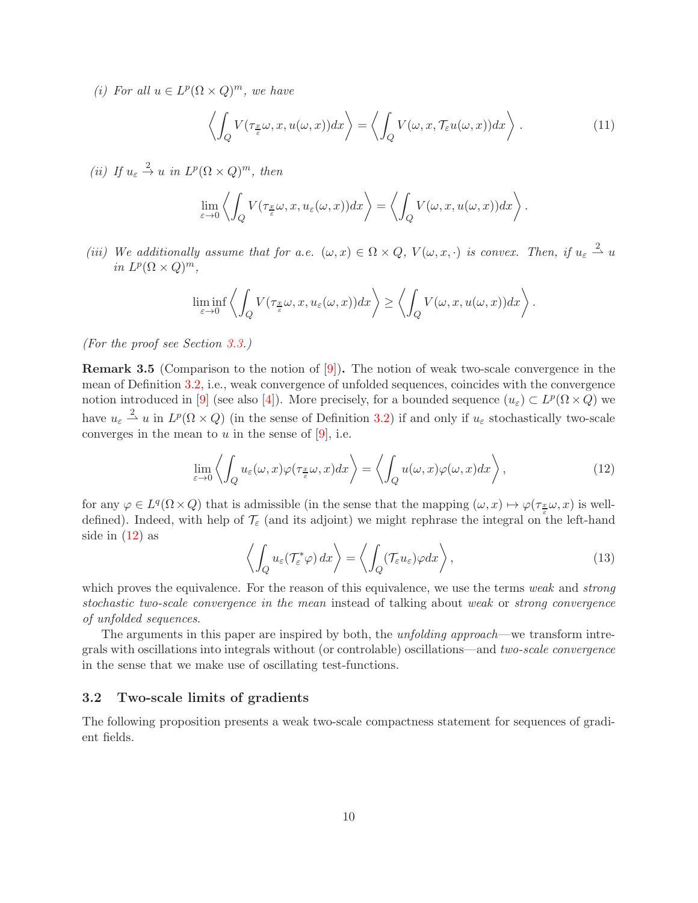(i) For all  $u \in L^p(\Omega \times Q)^m$ , we have

<span id="page-9-2"></span>
$$
\left\langle \int_{Q} V(\tau_{\frac{x}{\varepsilon}}\omega, x, u(\omega, x)) dx \right\rangle = \left\langle \int_{Q} V(\omega, x, \mathcal{T}_{\varepsilon}u(\omega, x)) dx \right\rangle. \tag{11}
$$

(ii) If  $u_{\varepsilon} \stackrel{2}{\rightarrow} u$  in  $L^p(\Omega \times Q)^m$ , then

$$
\lim_{\varepsilon \to 0} \left\langle \int_Q V(\tau_{\frac{x}{\varepsilon}} \omega, x, u_\varepsilon(\omega, x)) dx \right\rangle = \left\langle \int_Q V(\omega, x, u(\omega, x)) dx \right\rangle.
$$

(iii) We additionally assume that for a.e.  $(\omega, x) \in \Omega \times Q$ ,  $V(\omega, x, \cdot)$  is convex. Then, if  $u_{\varepsilon} \stackrel{2}{\rightharpoonup} u$ in  $L^p(\Omega \times Q)^m$ ,

$$
\liminf_{\varepsilon \to 0} \left\langle \int_Q V(\tau_{\frac{x}{\varepsilon}} \omega, x, u_\varepsilon(\omega, x)) dx \right\rangle \ge \left\langle \int_Q V(\omega, x, u(\omega, x)) dx \right\rangle.
$$

(For the proof see Section [3.3.](#page-10-0))

Remark 3.5 (Comparison to the notion of [\[9\]](#page-24-7)). The notion of weak two-scale convergence in the mean of Definition [3.2,](#page-8-0) i.e., weak convergence of unfolded sequences, coincides with the convergence notion introduced in [\[9\]](#page-24-7) (see also [\[4\]](#page-24-8)). More precisely, for a bounded sequence  $(u_{\varepsilon}) \subset L^p(\Omega \times Q)$  we have  $u_{\varepsilon} \stackrel{2}{\rightharpoonup} u$  in  $L^p(\Omega \times Q)$  (in the sense of Definition [3.2\)](#page-8-0) if and only if  $u_{\varepsilon}$  stochastically two-scale converges in the mean to  $u$  in the sense of [\[9\]](#page-24-7), i.e.

<span id="page-9-1"></span>
$$
\lim_{\varepsilon \to 0} \left\langle \int_{Q} u_{\varepsilon}(\omega, x) \varphi(\tau_{\frac{x}{\varepsilon}} \omega, x) dx \right\rangle = \left\langle \int_{Q} u(\omega, x) \varphi(\omega, x) dx \right\rangle, \tag{12}
$$

for any  $\varphi \in L^q(\Omega \times Q)$  that is admissible (in the sense that the mapping  $(\omega, x) \mapsto \varphi(\tau_{\frac{x}{\varepsilon}} \omega, x)$  is welldefined). Indeed, with help of  $\mathcal{T}_{\varepsilon}$  (and its adjoint) we might rephrase the integral on the left-hand side in  $(12)$  as

$$
\left\langle \int_{Q} u_{\varepsilon}(\mathcal{T}_{\varepsilon}^{*}\varphi) dx \right\rangle = \left\langle \int_{Q} (\mathcal{T}_{\varepsilon}u_{\varepsilon})\varphi dx \right\rangle, \tag{13}
$$

which proves the equivalence. For the reason of this equivalence, we use the terms weak and strong stochastic two-scale convergence in the mean instead of talking about weak or strong convergence of unfolded sequences.

The arguments in this paper are inspired by both, the *unfolding approach*—we transform intregrals with oscillations into integrals without (or controlable) oscillations—and two-scale convergence in the sense that we make use of oscillating test-functions.

#### <span id="page-9-0"></span>3.2 Two-scale limits of gradients

The following proposition presents a weak two-scale compactness statement for sequences of gradient fields.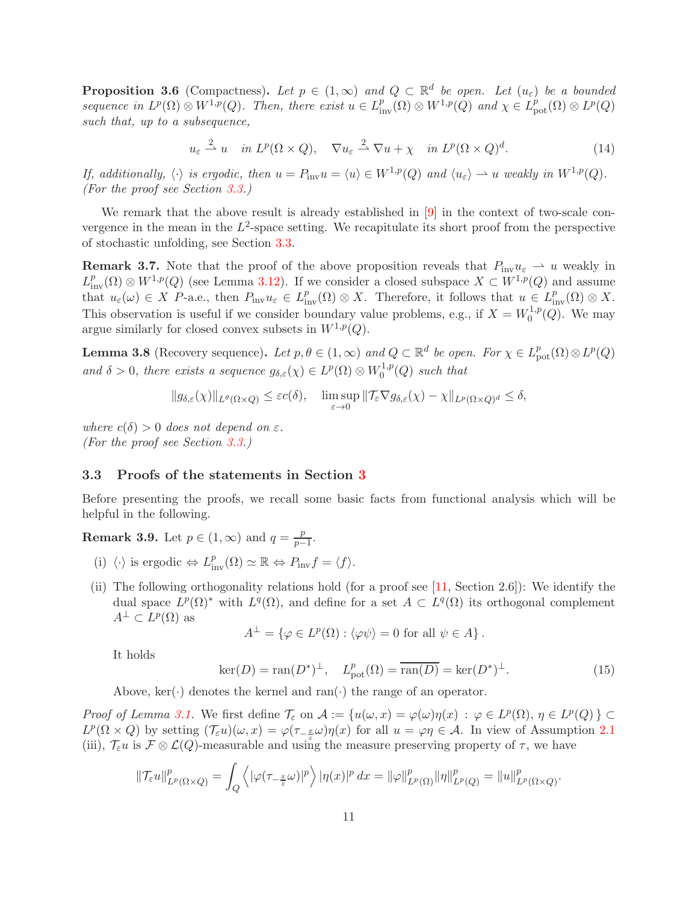<span id="page-10-1"></span>**Proposition 3.6** (Compactness). Let  $p \in (1,\infty)$  and  $Q \subset \mathbb{R}^d$  be open. Let  $(u_{\varepsilon})$  be a bounded sequence in  $L^p(\Omega) \otimes W^{1,p}(Q)$ . Then, there exist  $u \in L^p_{\text{inv}}(\Omega) \otimes W^{1,p}(Q)$  and  $\chi \in L^p_{\text{pot}}(\Omega) \otimes L^p(Q)$ such that, up to a subsequence,

$$
u_{\varepsilon} \stackrel{2}{\rightharpoonup} u \quad \text{in } L^p(\Omega \times Q), \quad \nabla u_{\varepsilon} \stackrel{2}{\rightharpoonup} \nabla u + \chi \quad \text{in } L^p(\Omega \times Q)^d. \tag{14}
$$

If, additionally,  $\langle \cdot \rangle$  is ergodic, then  $u = P_{\text{inv}}u = \langle u \rangle \in W^{1,p}(Q)$  and  $\langle u_{\varepsilon} \rangle \to u$  weakly in  $W^{1,p}(Q)$ . (For the proof see Section [3.3.](#page-10-0))

We remark that the above result is already established in  $[9]$  in the context of two-scale convergence in the mean in the  $L^2$ -space setting. We recapitulate its short proof from the perspective of stochastic unfolding, see Section [3.3.](#page-10-0)

<span id="page-10-4"></span>**Remark 3.7.** Note that the proof of the above proposition reveals that  $P_{\text{inv}}u_{\varepsilon} \to u$  weakly in  $L^p_{\text{inv}}(\Omega) \otimes W^{1,p}(Q)$  (see Lemma [3.12\)](#page-13-0). If we consider a closed subspace  $X \subset W^{1,p}(Q)$  and assume that  $u_{\varepsilon}(\omega) \in X$  P-a.e., then  $P_{\text{inv}}u_{\varepsilon} \in L^p_{\text{inv}}(\Omega) \otimes X$ . Therefore, it follows that  $u \in L^p_{\text{inv}}(\Omega) \otimes X$ . This observation is useful if we consider boundary value problems, e.g., if  $X = W_0^{1,p}$  $i_0^{1,p}(Q)$ . We may argue similarly for closed convex subsets in  $W^{1,p}(Q)$ .

<span id="page-10-3"></span>**Lemma 3.8** (Recovery sequence). Let  $p, \theta \in (1, \infty)$  and  $Q \subset \mathbb{R}^d$  be open. For  $\chi \in L^p_{pot}(\Omega) \otimes L^p(Q)$ and  $\delta > 0$ , there exists a sequence  $g_{\delta,\varepsilon}(\chi) \in L^p(\Omega) \otimes W_0^{1,p}$  $C_0^{1,p}(Q)$  such that

$$
||g_{\delta,\varepsilon}(\chi)||_{L^{\theta}(\Omega\times Q)} \leq \varepsilon c(\delta), \quad \limsup_{\varepsilon \to 0} ||\mathcal{T}_{\varepsilon} \nabla g_{\delta,\varepsilon}(\chi) - \chi||_{L^p(\Omega\times Q)^d} \leq \delta,
$$

where  $c(\delta) > 0$  does not depend on  $\varepsilon$ . (For the proof see Section [3.3.](#page-10-0))

#### <span id="page-10-0"></span>3.3 Proofs of the statements in Section [3](#page-7-0)

Before presenting the proofs, we recall some basic facts from functional analysis which will be helpful in the following.

**Remark 3.9.** Let  $p \in (1, \infty)$  and  $q = \frac{p}{n-1}$  $\frac{p}{p-1}$ .

- (i)  $\langle \cdot \rangle$  is ergodic  $\Leftrightarrow L_{\text{inv}}^p(\Omega) \simeq \mathbb{R} \Leftrightarrow P_{\text{inv}}f = \langle f \rangle.$
- (ii) The following orthogonality relations hold (for a proof see [\[11,](#page-24-10) Section 2.6]): We identify the dual space  $L^p(\Omega)$ <sup>\*</sup> with  $L^q(\Omega)$ , and define for a set  $A \subset L^q(\Omega)$  its orthogonal complement  $A^{\perp} \subset L^p(\Omega)$  as

$$
A^{\perp} = \{ \varphi \in L^{p}(\Omega) : \langle \varphi \psi \rangle = 0 \text{ for all } \psi \in A \}.
$$

It holds

<span id="page-10-2"></span>
$$
\ker(D) = \operatorname{ran}(D^*)^{\perp}, \quad L^p_{\text{pot}}(\Omega) = \overline{\operatorname{ran}(D)} = \ker(D^*)^{\perp}.
$$
 (15)

Above,  $\text{ker}(\cdot)$  denotes the kernel and ran $(\cdot)$  the range of an operator.

Proof of Lemma [3.1.](#page-8-2) We first define  $\mathcal{T}_{\varepsilon}$  on  $\mathcal{A} := \{u(\omega, x) = \varphi(\omega)\eta(x) : \varphi \in L^{p}(\Omega), \eta \in L^{p}(Q)\}\subset$  $L^p(\Omega \times Q)$  by setting  $(\mathcal{T}_{\varepsilon} u)(\omega, x) = \varphi(\tau_{-\frac{x}{\varepsilon}} \omega) \eta(x)$  for all  $u = \varphi \eta \in \mathcal{A}$ . In view of Assumption [2.1](#page-4-1) (iii),  $\mathcal{T}_{\varepsilon} u$  is  $\mathcal{F} \otimes \mathcal{L}(Q)$ -measurable and using the measure preserving property of  $\tau$ , we have

$$
\|\mathcal{T}_{\varepsilon}u\|_{L^{p}(\Omega\times Q)}^{p}=\int_{Q}\left\langle |\varphi(\tau_{-\frac{x}{\varepsilon}}\omega)|^{p}\right\rangle |\eta(x)|^{p} dx=\|\varphi\|_{L^{p}(\Omega)}^{p}\|\eta\|_{L^{p}(Q)}^{p}=\|u\|_{L^{p}(\Omega\times Q)}^{p}.
$$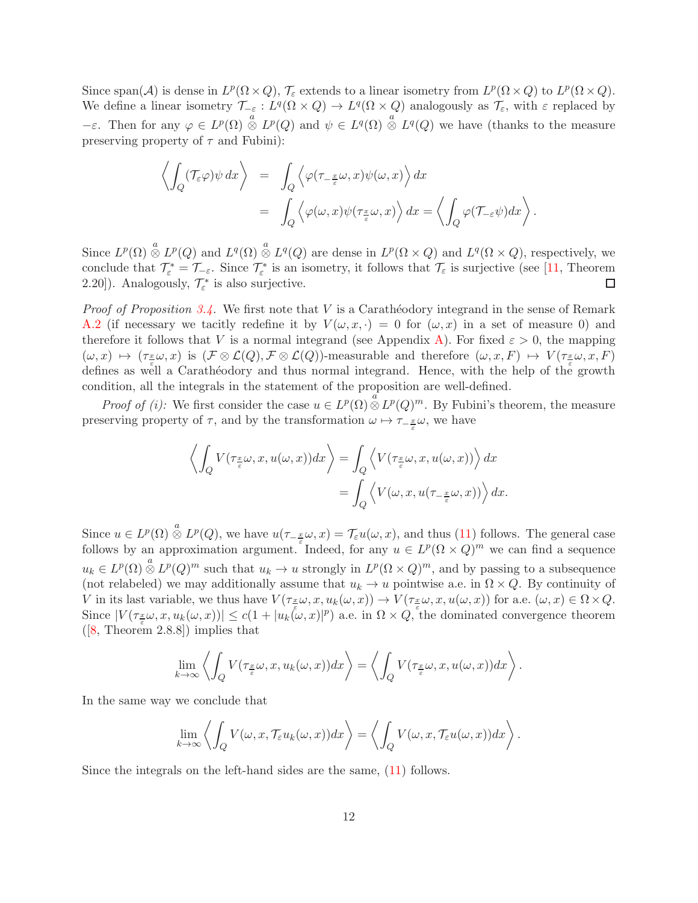Since span(A) is dense in  $L^p(\Omega \times Q)$ ,  $\mathcal{T}_{\varepsilon}$  extends to a linear isometry from  $L^p(\Omega \times Q)$  to  $L^p(\Omega \times Q)$ . We define a linear isometry  $\mathcal{T}_{-\varepsilon}: L^q(\Omega \times Q) \to L^q(\Omega \times Q)$  analogously as  $\mathcal{T}_{\varepsilon}$ , with  $\varepsilon$  replaced by  $-\varepsilon$ . Then for any  $\varphi \in L^p(\Omega) \overset{a}{\otimes} L^p(Q)$  and  $\psi \in L^q(\Omega) \overset{a}{\otimes} L^q(Q)$  we have (thanks to the measure preserving property of  $\tau$  and Fubini):

$$
\left\langle \int_Q (\mathcal{T}_{\varepsilon} \varphi) \psi \, dx \right\rangle = \int_Q \left\langle \varphi(\tau_{-\frac{x}{\varepsilon}} \omega, x) \psi(\omega, x) \right\rangle dx
$$
  
= 
$$
\int_Q \left\langle \varphi(\omega, x) \psi(\tau_{\frac{x}{\varepsilon}} \omega, x) \right\rangle dx = \left\langle \int_Q \varphi(\mathcal{T}_{-\varepsilon} \psi) dx \right\rangle.
$$

Since  $L^p(\Omega) \overset{a}{\otimes} L^p(Q)$  and  $L^q(\Omega) \overset{a}{\otimes} L^q(Q)$  are dense in  $L^p(\Omega \times Q)$  and  $L^q(\Omega \times Q)$ , respectively, we conclude that  $\mathcal{T}_{\varepsilon}^* = \mathcal{T}_{-\varepsilon}$ . Since  $\mathcal{T}_{\varepsilon}^*$  is an isometry, it follows that  $\mathcal{T}_{\varepsilon}$  is surjective (see [\[11,](#page-24-10) Theorem 2.20]). Analogously,  $\mathcal{T}_{\varepsilon}^*$  is also surjective.  $\Box$ 

*Proof of Proposition [3.4.](#page-8-3)* We first note that  $V$  is a Caratheodory integrand in the sense of Remark [A.2](#page-23-1) (if necessary we tacitly redefine it by  $V(\omega, x, \cdot) = 0$  for  $(\omega, x)$  in a set of measure 0) and therefore it follows that V is a normal integrand (see Appendix [A\)](#page-22-0). For fixed  $\varepsilon > 0$ , the mapping  $(\omega, x) \mapsto (\tau_{\pm} \omega, x)$  is  $(\mathcal{F} \otimes \mathcal{L}(Q), \mathcal{F} \otimes \mathcal{L}(Q))$ -measurable and therefore  $(\omega, x, F) \mapsto V(\tau_{\pm} \omega, x, F)$ defines as well a Carathéodory and thus normal integrand. Hence, with the help of the growth condition, all the integrals in the statement of the proposition are well-defined.

*Proof of (i):* We first consider the case  $u \in L^p(\Omega) \overset{a}{\otimes} L^p(Q)^m$ . By Fubini's theorem, the measure preserving property of  $\tau$ , and by the transformation  $\omega \mapsto \tau_{-\frac{x}{\varepsilon}}\omega$ , we have

$$
\left\langle \int_{Q} V(\tau_{\frac{x}{\varepsilon}}\omega, x, u(\omega, x)) dx \right\rangle = \int_{Q} \left\langle V(\tau_{\frac{x}{\varepsilon}}\omega, x, u(\omega, x)) \right\rangle dx
$$
  
= 
$$
\int_{Q} \left\langle V(\omega, x, u(\tau_{-\frac{x}{\varepsilon}}\omega, x)) \right\rangle dx.
$$

Since  $u \in L^p(\Omega) \overset{a}{\otimes} L^p(Q)$ , we have  $u(\tau_{-\frac{x}{2}}\omega, x) = \mathcal{T}_{\varepsilon}u(\omega, x)$ , and thus [\(11\)](#page-9-2) follows. The general case follows by an approximation argument. Indeed, for any  $u \in L^p(\Omega \times Q)^m$  we can find a sequence  $u_k \in L^p(\Omega) \overset{a}{\otimes} L^p(Q)^m$  such that  $u_k \to u$  strongly in  $L^p(\Omega \times Q)^m$ , and by passing to a subsequence (not relabeled) we may additionally assume that  $u_k \to u$  pointwise a.e. in  $\Omega \times Q$ . By continuity of V in its last variable, we thus have  $V(\tau_{\frac{\alpha}{\epsilon}}\omega, x, u_k(\omega, x)) \to V(\tau_{\frac{\alpha}{\epsilon}}\omega, x, u(\omega, x))$  for a.e.  $(\omega, x) \in \Omega \times Q$ . Since  $|V(\tau_{\frac{x}{\epsilon}}\omega,x,u_k(\omega,x))| \leq c(1+|u_k(\omega,x)|^p)$  a.e. in  $\Omega \times Q$ , the dominated convergence theorem  $([8, Theorem 2.8.8])$  $([8, Theorem 2.8.8])$  $([8, Theorem 2.8.8])$  implies that

$$
\lim_{k \to \infty} \left\langle \int_Q V(\tau_{\frac{x}{\varepsilon}} \omega, x, u_k(\omega, x)) dx \right\rangle = \left\langle \int_Q V(\tau_{\frac{x}{\varepsilon}} \omega, x, u(\omega, x)) dx \right\rangle.
$$

In the same way we conclude that

$$
\lim_{k \to \infty} \left\langle \int_Q V(\omega, x, \mathcal{T}_{\varepsilon} u_k(\omega, x)) dx \right\rangle = \left\langle \int_Q V(\omega, x, \mathcal{T}_{\varepsilon} u(\omega, x)) dx \right\rangle.
$$

Since the integrals on the left-hand sides are the same, [\(11\)](#page-9-2) follows.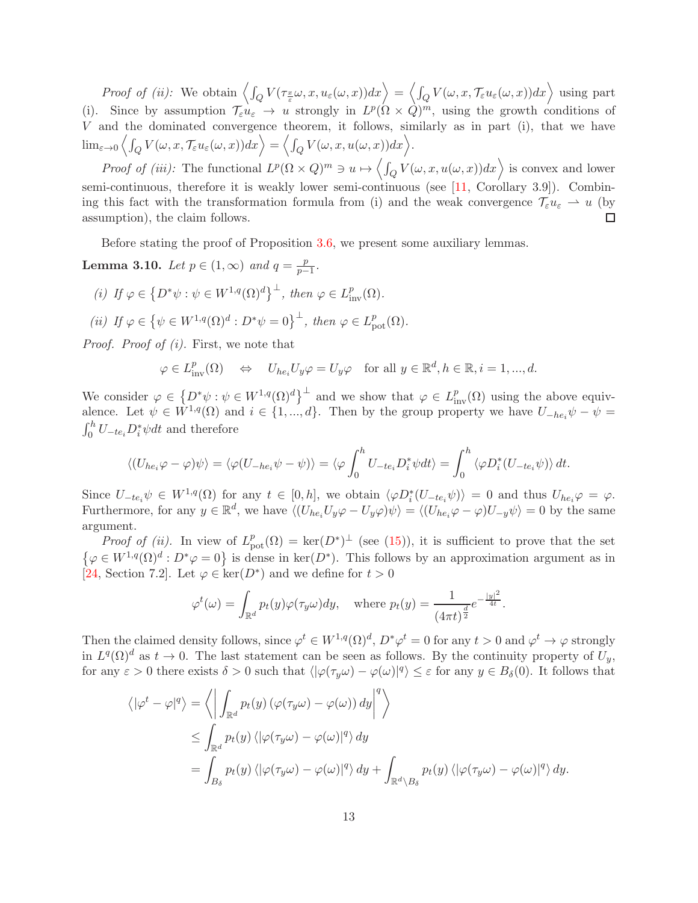Proof of (ii): We obtain  $\left\langle \int_Q V(\tau_{\frac{x}{\varepsilon}}\omega, x, u_\varepsilon(\omega, x))dx\right\rangle = \left\langle \int_Q V(\omega, x, \mathcal{T}_\varepsilon u_\varepsilon(\omega, x))dx\right\rangle$  using part (i). Since by assumption  $\mathcal{T}_{\varepsilon} u_{\varepsilon} \to u$  strongly in  $L^p(\Omega \times Q)^m$ , using the growth conditions of V and the dominated convergence theorem, it follows, similarly as in part (i), that we have  $\lim_{\varepsilon \to 0} \left\langle \int_Q V(\omega, x, \mathcal{T}_\varepsilon u_\varepsilon(\omega, x)) dx \right\rangle = \left\langle \int_Q V(\omega, x, u(\omega, x)) dx \right\rangle.$ 

*Proof of (iii)*: The functional  $L^p(\Omega \times Q)^m \ni u \mapsto \left\langle \int_Q V(\omega, x, u(\omega, x)) dx \right\rangle$  is convex and lower semi-continuous, therefore it is weakly lower semi-continuous (see [\[11,](#page-24-10) Corollary 3.9]). Combining this fact with the transformation formula from (i) and the weak convergence  $\mathcal{T}_{\varepsilon}u_{\varepsilon} \rightharpoonup u$  (by assumption), the claim follows.  $\Box$ 

Before stating the proof of Proposition [3.6,](#page-10-1) we present some auxiliary lemmas.

<span id="page-12-0"></span>**Lemma 3.10.** Let  $p \in (1,\infty)$  and  $q = \frac{p}{n-1}$  $\frac{p}{p-1}$ .

- (i) If  $\varphi \in \left\{ D^*\psi : \psi \in W^{1,q}(\Omega)^d \right\}^{\perp}$ , then  $\varphi \in L^p_{\text{inv}}(\Omega)$ .
- (ii) If  $\varphi \in \{ \psi \in W^{1,q}(\Omega)^d : D^* \psi = 0 \}^{\perp}$ , then  $\varphi \in L^p_{\text{pot}}(\Omega)$ .

Proof. Proof of (i). First, we note that

$$
\varphi \in L^p_{\text{inv}}(\Omega) \quad \Leftrightarrow \quad U_{he_i} U_y \varphi = U_y \varphi \quad \text{for all } y \in \mathbb{R}^d, h \in \mathbb{R}, i = 1, ..., d.
$$

We consider  $\varphi \in \left\{ D^*\psi : \psi \in W^{1,q}(\Omega)^d \right\}^{\perp}$  and we show that  $\varphi \in L^p_{\text{inv}}(\Omega)$  using the above equivalence. Let  $\psi \in \hat{W}^{1,q}(\Omega)$  and  $i \in \{1, ..., d\}$ . Then by the group property we have  $U_{-he_i}\psi - \psi =$  $\int_0^h U_{-te_i} D_i^* \psi dt$  and therefore

$$
\langle (U_{he_i}\varphi - \varphi)\psi \rangle = \langle \varphi(U_{-he_i}\psi - \psi) \rangle = \langle \varphi \int_0^h U_{-te_i}D_i^*\psi dt \rangle = \int_0^h \langle \varphi D_i^*(U_{-te_i}\psi) \rangle dt.
$$

Since  $U_{-te_i}\psi \in W^{1,q}(\Omega)$  for any  $t \in [0,h]$ , we obtain  $\langle \varphi D_i^*(U_{-te_i}\psi) \rangle = 0$  and thus  $U_{he_i}\varphi = \varphi$ . Furthermore, for any  $y \in \mathbb{R}^d$ , we have  $\langle (U_{he_i}U_y\varphi - U_y\varphi)\psi \rangle = \langle (U_{he_i}\varphi - \varphi)U_{-y}\psi \rangle = 0$  by the same argument.

*Proof of (ii)*. In view of  $L_{pot}^p(\Omega) = \text{ker}(D^*)^{\perp}$  (see [\(15\)](#page-10-2)), it is sufficient to prove that the set  $\{\varphi \in W^{1,q}(\Omega)^d : D^*\varphi = 0\}$  is dense in ker $(D^*)$ . This follows by an approximation argument as in [\[24,](#page-25-16) Section 7.2]. Let  $\varphi \in \ker(D^*)$  and we define for  $t > 0$ 

$$
\varphi^t(\omega) = \int_{\mathbb{R}^d} p_t(y)\varphi(\tau_y \omega)dy, \quad \text{where } p_t(y) = \frac{1}{(4\pi t)^{\frac{d}{2}}}e^{-\frac{|y|^2}{4t}}.
$$

Then the claimed density follows, since  $\varphi^t \in W^{1,q}(\Omega)^d$ ,  $D^*\varphi^t = 0$  for any  $t > 0$  and  $\varphi^t \to \varphi$  strongly in  $L^q(\Omega)^d$  as  $t \to 0$ . The last statement can be seen as follows. By the continuity property of  $U_y$ , for any  $\varepsilon > 0$  there exists  $\delta > 0$  such that  $\langle |\varphi(\tau_y \omega) - \varphi(\omega)|^q \rangle \leq \varepsilon$  for any  $y \in B_\delta(0)$ . It follows that

$$
\langle |\varphi^t - \varphi|^q \rangle = \left\langle \left| \int_{\mathbb{R}^d} p_t(y) \left( \varphi(\tau_y \omega) - \varphi(\omega) \right) dy \right|^q \right\rangle
$$
  
\n
$$
\leq \int_{\mathbb{R}^d} p_t(y) \left\langle |\varphi(\tau_y \omega) - \varphi(\omega)|^q \right\rangle dy
$$
  
\n
$$
= \int_{B_\delta} p_t(y) \left\langle |\varphi(\tau_y \omega) - \varphi(\omega)|^q \right\rangle dy + \int_{\mathbb{R}^d \backslash B_\delta} p_t(y) \left\langle |\varphi(\tau_y \omega) - \varphi(\omega)|^q \right\rangle dy.
$$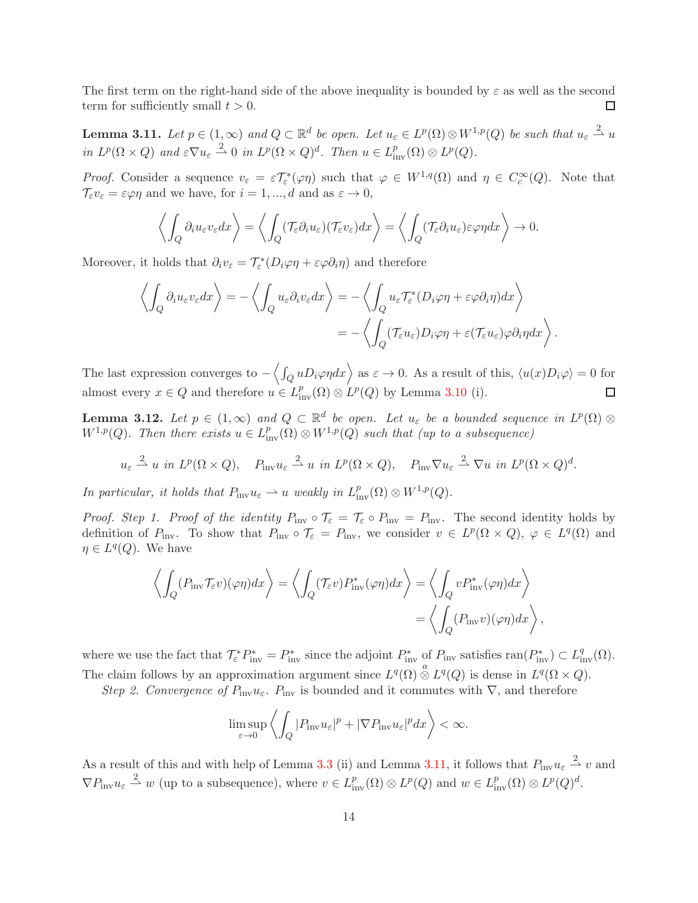The first term on the right-hand side of the above inequality is bounded by  $\varepsilon$  as well as the second term for sufficiently small  $t > 0$ .  $\Box$ 

<span id="page-13-1"></span>**Lemma 3.11.** Let  $p \in (1,\infty)$  and  $Q \subset \mathbb{R}^d$  be open. Let  $u_{\varepsilon} \in L^p(\Omega) \otimes W^{1,p}(Q)$  be such that  $u_{\varepsilon} \stackrel{2}{\rightharpoonup} u$ in  $L^p(\Omega \times Q)$  and  $\varepsilon \nabla u_{\varepsilon} \stackrel{2}{\rightharpoonup} 0$  in  $L^p(\Omega \times Q)^d$ . Then  $u \in L^p_{\text{inv}}(\Omega) \otimes L^p(Q)$ .

Proof. Consider a sequence  $v_{\varepsilon} = \varepsilon T_{\varepsilon}^*(\varphi \eta)$  such that  $\varphi \in W^{1,q}(\Omega)$  and  $\eta \in C_c^{\infty}(Q)$ . Note that  $\mathcal{T}_{\varepsilon}v_{\varepsilon}=\varepsilon\varphi\eta$  and we have, for  $i=1,...,d$  and as  $\varepsilon\to 0,$ 

$$
\left\langle \int_Q \partial_i u_\varepsilon v_\varepsilon dx \right\rangle = \left\langle \int_Q (\mathcal{T}_\varepsilon \partial_i u_\varepsilon)(\mathcal{T}_\varepsilon v_\varepsilon) dx \right\rangle = \left\langle \int_Q (\mathcal{T}_\varepsilon \partial_i u_\varepsilon) \varepsilon \varphi \eta dx \right\rangle \to 0.
$$

Moreover, it holds that  $\partial_i v_\varepsilon = \mathcal{T}^*_\varepsilon(D_i \varphi \eta + \varepsilon \varphi \partial_i \eta)$  and therefore

$$
\left\langle \int_Q \partial_i u_\varepsilon v_\varepsilon dx \right\rangle = -\left\langle \int_Q u_\varepsilon \partial_i v_\varepsilon dx \right\rangle = -\left\langle \int_Q u_\varepsilon \mathcal{T}_\varepsilon^*(D_i \varphi \eta + \varepsilon \varphi \partial_i \eta) dx \right\rangle
$$
  
= 
$$
-\left\langle \int_Q (\mathcal{T}_\varepsilon u_\varepsilon) D_i \varphi \eta + \varepsilon (\mathcal{T}_\varepsilon u_\varepsilon) \varphi \partial_i \eta dx \right\rangle.
$$

The last expression converges to  $-\langle \int_Q u D_i \varphi \eta dx \rangle$  as  $\varepsilon \to 0$ . As a result of this,  $\langle u(x)D_i \varphi \rangle = 0$  for almost every  $x \in Q$  and therefore  $u \in L^p_{\text{inv}}(\Omega) \otimes L^p(Q)$  by Lemma [3.10](#page-12-0) (i).  $\Box$ 

<span id="page-13-0"></span>**Lemma 3.12.** Let  $p \in (1,\infty)$  and  $Q \subset \mathbb{R}^d$  be open. Let  $u_{\varepsilon}$  be a bounded sequence in  $L^p(\Omega) \otimes$  $W^{1,p}(Q)$ . Then there exists  $u \in L^p_{inv}(\Omega) \otimes W^{1,p}(Q)$  such that (up to a subsequence)

$$
u_{\varepsilon} \stackrel{2}{\rightharpoonup} u
$$
 in  $L^p(\Omega \times Q)$ ,  $P_{\text{inv}} u_{\varepsilon} \stackrel{2}{\rightharpoonup} u$  in  $L^p(\Omega \times Q)$ ,  $P_{\text{inv}} \nabla u_{\varepsilon} \stackrel{2}{\rightharpoonup} \nabla u$  in  $L^p(\Omega \times Q)^d$ .

In particular, it holds that  $P_{\text{inv}}u_{\varepsilon} \rightharpoonup u$  weakly in  $L^p_{\text{inv}}(\Omega) \otimes W^{1,p}(Q)$ .

*Proof. Step 1. Proof of the identity*  $P_{\text{inv}} \circ T_{\varepsilon} = T_{\varepsilon} \circ P_{\text{inv}} = P_{\text{inv}}$ . The second identity holds by definition of  $P_{\text{inv}}$ . To show that  $P_{\text{inv}} \circ \mathcal{T}_{\varepsilon} = P_{\text{inv}}$ , we consider  $v \in L^p(\Omega \times Q)$ ,  $\varphi \in L^q(\Omega)$  and  $\eta \in L^q(Q)$ . We have

$$
\left\langle \int_{Q} (P_{\rm inv} \mathcal{T}_{\varepsilon} v)(\varphi \eta) dx \right\rangle = \left\langle \int_{Q} (\mathcal{T}_{\varepsilon} v) P_{\rm inv}^*(\varphi \eta) dx \right\rangle = \left\langle \int_{Q} v P_{\rm inv}^*(\varphi \eta) dx \right\rangle
$$

$$
= \left\langle \int_{Q} (P_{\rm inv} v)(\varphi \eta) dx \right\rangle,
$$

where we use the fact that  $\mathcal{T}_{\varepsilon}^* P_{\text{inv}}^* = P_{\text{inv}}^*$  since the adjoint  $P_{\text{inv}}^*$  of  $P_{\text{inv}}$  satisfies  $\text{ran}(P_{\text{inv}}^*) \subset L^q_{\text{inv}}(\Omega)$ . The claim follows by an approximation argument since  $L^q(\Omega) \overset{a}{\otimes} L^q(Q)$  is dense in  $L^q(\Omega \times Q)$ .

Step 2. Convergence of  $P_{\text{inv}}u_{\varepsilon}$ .  $P_{\text{inv}}$  is bounded and it commutes with  $\nabla$ , and therefore

$$
\limsup_{\varepsilon \to 0} \left\langle \int_Q |P_{\text{inv}} u_\varepsilon|^p + |\nabla P_{\text{inv}} u_\varepsilon|^p dx \right\rangle < \infty.
$$

As a result of this and with help of Lemma [3.3](#page-8-4) (ii) and Lemma [3.11,](#page-13-1) it follows that  $P_{\text{inv}}u_{\varepsilon} \stackrel{2}{\rightharpoonup} v$  and  $\nabla P_{\text{inv}} u_{\varepsilon} \stackrel{2}{\rightharpoonup} w$  (up to a subsequence), where  $v \in L^p_{\text{inv}}(\Omega) \otimes L^p(Q)$  and  $w \in L^p_{\text{inv}}(\Omega) \otimes L^p(Q)^d$ .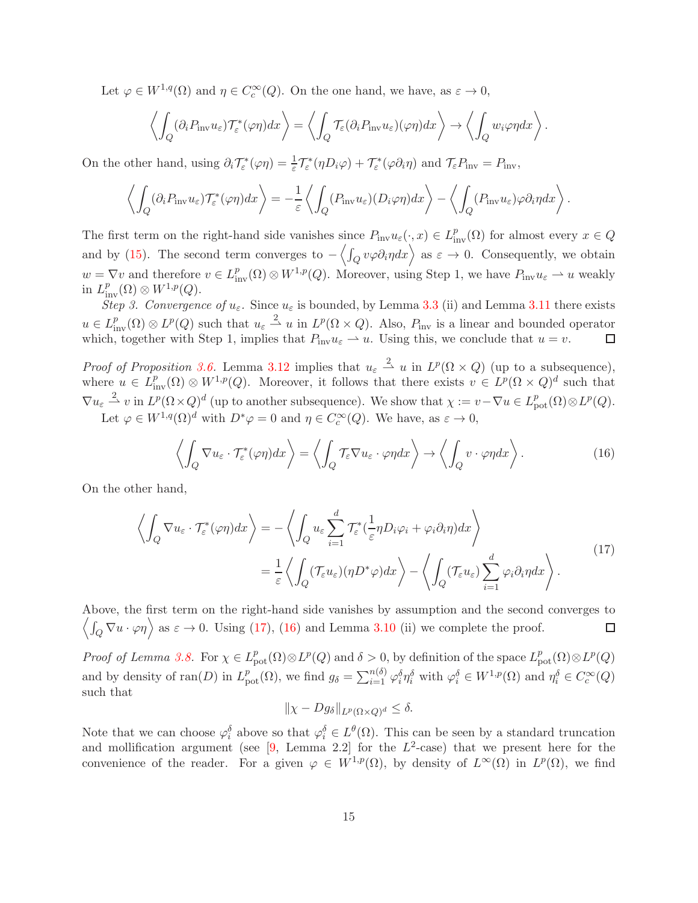Let  $\varphi \in W^{1,q}(\Omega)$  and  $\eta \in C_c^{\infty}(Q)$ . On the one hand, we have, as  $\varepsilon \to 0$ ,

$$
\left\langle \int_Q (\partial_i P_{\rm inv} u_\varepsilon) \mathcal{T}_\varepsilon^*(\varphi \eta) dx \right\rangle = \left\langle \int_Q \mathcal{T}_\varepsilon (\partial_i P_{\rm inv} u_\varepsilon)(\varphi \eta) dx \right\rangle \to \left\langle \int_Q w_i \varphi \eta dx \right\rangle.
$$

On the other hand, using  $\partial_i \mathcal{T}_{\varepsilon}^*(\varphi \eta) = \frac{1}{\varepsilon} \mathcal{T}_{\varepsilon}^*(\eta D_i \varphi) + \mathcal{T}_{\varepsilon}^*(\varphi \partial_i \eta)$  and  $\mathcal{T}_{\varepsilon} P_{\text{inv}} = P_{\text{inv}}$ ,

$$
\left\langle \int_Q (\partial_i P_{\text{inv}} u_\varepsilon) \mathcal{T}_\varepsilon^*(\varphi \eta) dx \right\rangle = -\frac{1}{\varepsilon} \left\langle \int_Q (P_{\text{inv}} u_\varepsilon) (D_i \varphi \eta) dx \right\rangle - \left\langle \int_Q (P_{\text{inv}} u_\varepsilon) \varphi \partial_i \eta dx \right\rangle.
$$

The first term on the right-hand side vanishes since  $P_{\text{inv}}u_{\varepsilon}(\cdot,x) \in L^p_{\text{inv}}(\Omega)$  for almost every  $x \in Q$ and by [\(15\)](#page-10-2). The second term converges to  $-\langle \int_Q v\varphi \partial_i \eta dx \rangle$  as  $\varepsilon \to 0$ . Consequently, we obtain  $w = \nabla v$  and therefore  $v \in L^p_{\text{inv}}(\Omega) \otimes W^{1,p}(Q)$ . Moreover, using Step 1, we have  $P_{\text{inv}}u_{\varepsilon} \to u$  weakly in  $L^p_{\text{inv}}(\Omega) \otimes W^{1,p}(Q)$ .

Step 3. Convergence of  $u_{\varepsilon}$ . Since  $u_{\varepsilon}$  is bounded, by Lemma [3.3](#page-8-4) (ii) and Lemma [3.11](#page-13-1) there exists  $u \in L^p_{\text{inv}}(\Omega) \otimes L^p(Q)$  such that  $u_\varepsilon \stackrel{2}{\rightharpoonup} u$  in  $L^p(\Omega \times Q)$ . Also,  $P_{\text{inv}}$  is a linear and bounded operator which, together with Step 1, implies that  $P_{\text{inv}}u_{\varepsilon} \rightharpoonup u$ . Using this, we conclude that  $u = v$ .  $\Box$ 

*Proof of Proposition [3.6.](#page-10-1)* Lemma [3.12](#page-13-0) implies that  $u_{\varepsilon} \stackrel{2}{\rightharpoonup} u$  in  $L^p(\Omega \times Q)$  (up to a subsequence), where  $u \in L^p_{\text{inv}}(\Omega) \otimes W^{1,p}(Q)$ . Moreover, it follows that there exists  $v \in L^p(\Omega \times Q)^d$  such that  $\nabla u_{\varepsilon} \stackrel{2}{\rightharpoonup} v$  in  $L^p(\Omega \times Q)^d$  (up to another subsequence). We show that  $\chi := v - \nabla u \in L^p_{\text{pot}}(\Omega) \otimes L^p(Q)$ .

Let  $\varphi \in W^{1,q}(\Omega)^d$  with  $D^*\varphi = 0$  and  $\eta \in C_c^{\infty}(Q)$ . We have, as  $\varepsilon \to 0$ ,

<span id="page-14-1"></span>
$$
\left\langle \int_{Q} \nabla u_{\varepsilon} \cdot \mathcal{T}_{\varepsilon}^{*}(\varphi \eta) dx \right\rangle = \left\langle \int_{Q} \mathcal{T}_{\varepsilon} \nabla u_{\varepsilon} \cdot \varphi \eta dx \right\rangle \to \left\langle \int_{Q} v \cdot \varphi \eta dx \right\rangle.
$$
 (16)

On the other hand,

$$
\left\langle \int_{Q} \nabla u_{\varepsilon} \cdot \mathcal{T}_{\varepsilon}^{*}(\varphi \eta) dx \right\rangle = -\left\langle \int_{Q} u_{\varepsilon} \sum_{i=1}^{d} \mathcal{T}_{\varepsilon}^{*}(\frac{1}{\varepsilon} \eta D_{i} \varphi_{i} + \varphi_{i} \partial_{i} \eta) dx \right\rangle
$$
  
=  $\frac{1}{\varepsilon} \left\langle \int_{Q} (\mathcal{T}_{\varepsilon} u_{\varepsilon}) (\eta D^{*} \varphi) dx \right\rangle - \left\langle \int_{Q} (\mathcal{T}_{\varepsilon} u_{\varepsilon}) \sum_{i=1}^{d} \varphi_{i} \partial_{i} \eta dx \right\rangle.$  (17)

Above, the first term on the right-hand side vanishes by assumption and the second converges to  $\langle \int_Q \nabla u \cdot \varphi \eta \rangle$  as  $\varepsilon \to 0$ . Using [\(17\)](#page-14-0), [\(16\)](#page-14-1) and Lemma [3.10](#page-12-0) (ii) we complete the proof.  $\Box$ 

Proof of Lemma [3.8.](#page-10-3) For  $\chi \in L^p_{\text{pot}}(\Omega) \otimes L^p(Q)$  and  $\delta > 0$ , by definition of the space  $L^p_{\text{pot}}(\Omega) \otimes L^p(Q)$ and by density of  $\text{ran}(D)$  in  $L^p_{\text{pot}}(\Omega)$ , we find  $g_\delta = \sum_{i=1}^{n(\delta)} \varphi_i^\delta \eta_i^\delta$  with  $\varphi_i^\delta \in W^{1,p}(\Omega)$  and  $\eta_i^\delta \in C_c^\infty(Q)$ such that

<span id="page-14-0"></span>
$$
\|\chi - Dg_{\delta}\|_{L^p(\Omega \times Q)^d} \le \delta.
$$

Note that we can choose  $\varphi_i^{\delta}$  above so that  $\varphi_i^{\delta} \in L^{\theta}(\Omega)$ . This can be seen by a standard truncation and mollification argument (see  $[9, \text{ Lemma } 2.2]$  for the  $L^2$ -case) that we present here for the convenience of the reader. For a given  $\varphi \in W^{1,p}(\Omega)$ , by density of  $L^{\infty}(\Omega)$  in  $L^p(\Omega)$ , we find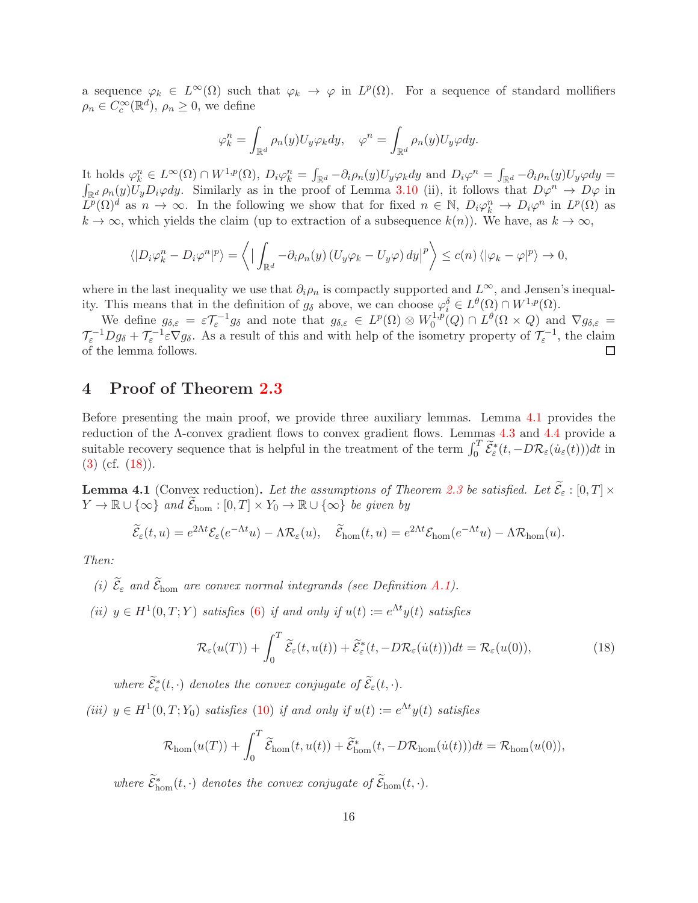a sequence  $\varphi_k \in L^{\infty}(\Omega)$  such that  $\varphi_k \to \varphi$  in  $L^p(\Omega)$ . For a sequence of standard mollifiers  $\rho_n \in C_c^{\infty}(\mathbb{R}^d)$ ,  $\rho_n \geq 0$ , we define

$$
\varphi_k^n = \int_{\mathbb{R}^d} \rho_n(y) U_y \varphi_k dy, \quad \varphi^n = \int_{\mathbb{R}^d} \rho_n(y) U_y \varphi dy.
$$

It holds  $\varphi_k^n \in L^{\infty}(\Omega) \cap W^{1,p}(\Omega)$ ,  $D_i \varphi_k^n = \int_{\mathbb{R}^d} -\partial_i \rho_n(y) U_y \varphi_k dy$  and  $D_i \varphi^n = \int_{\mathbb{R}^d} -\partial_i \rho_n(y) U_y \varphi dy =$ <br> $\int_{\mathbb{R}^d} \rho_n(y) U_n D_i \varphi dy$ . Similarly as in the proof of Lemma 3.10 (ii), it follows that  $D \varphi^n \to D \$  $\int_{\mathbb{R}^d} \rho_n(y) U_y D_i \varphi dy$ . Similarly as in the proof of Lemma [3.10](#page-12-0) (ii), it follows that  $D\varphi^n \to D\varphi$  in  $L^p(\Omega)^d$  as  $n \to \infty$ . In the following we show that for fixed  $n \in \mathbb{N}$ ,  $D_i \varphi_k^n \to D_i \varphi^n$  in  $L^p(\Omega)$  as  $k \to \infty$ , which yields the claim (up to extraction of a subsequence  $k(n)$ ). We have, as  $k \to \infty$ ,

$$
\langle |D_i \varphi_k^n - D_i \varphi^n|^p \rangle = \langle | \int_{\mathbb{R}^d} -\partial_i \rho_n(y) (U_y \varphi_k - U_y \varphi) dy |^p \rangle \le c(n) \langle | \varphi_k - \varphi |^p \rangle \to 0,
$$

where in the last inequality we use that  $\partial_i \rho_n$  is compactly supported and  $L^{\infty}$ , and Jensen's inequality. This means that in the definition of  $g_{\delta}$  above, we can choose  $\varphi_i^{\delta} \in L^{\theta}(\Omega) \cap W^{1,p}(\Omega)$ .

We define  $g_{\delta,\varepsilon} = \varepsilon \mathcal{T}_{\varepsilon}^{-1} g_{\delta}$  and note that  $g_{\delta,\varepsilon} \in L^p(\Omega) \otimes W_0^{1,p}$  $L^{1,p}(Q) \cap L^{\theta}(\Omega \times Q)$  and  $\nabla g_{\delta,\varepsilon} =$  $\mathcal{T}_{\varepsilon}^{-1}Dg_{\delta} + \mathcal{T}_{\varepsilon}^{-1}\varepsilon\nabla g_{\delta}$ . As a result of this and with help of the isometry property of  $\mathcal{T}_{\varepsilon}^{-1}$ , the claim of the lemma follows. □

### <span id="page-15-0"></span>4 Proof of Theorem [2.3](#page-6-0)

Before presenting the main proof, we provide three auxiliary lemmas. Lemma [4.1](#page-15-1) provides the reduction of the Λ-convex gradient flows to convex gradient flows. Lemmas [4.3](#page-17-1) and [4.4](#page-17-0) provide a suitable recovery sequence that is helpful in the treatment of the term  $\int_0^T \widetilde{\mathcal{E}}_{\varepsilon}^*(t, -D\mathcal{R}_{\varepsilon}(\dot{u}_{\varepsilon}(t)))dt$  in  $(3)$  (cf.  $(18)$ ).

<span id="page-15-1"></span>**Lemma 4.1** (Convex reduction). Let the assumptions of Theorem [2.3](#page-6-0) be satisfied. Let  $\widetilde{\mathcal{E}}_{\varepsilon}: [0, T] \times$  $Y \to \mathbb{R} \cup {\infty} \text{ and } \widetilde{\mathcal{E}}_{\text{hom}} : [0, T] \times Y_0 \to \mathbb{R} \cup {\infty} \text{ be given by}$ 

$$
\widetilde{\mathcal{E}}_{\varepsilon}(t,u) = e^{2\Lambda t} \mathcal{E}_{\varepsilon}(e^{-\Lambda t}u) - \Lambda \mathcal{R}_{\varepsilon}(u), \quad \widetilde{\mathcal{E}}_{\text{hom}}(t,u) = e^{2\Lambda t} \mathcal{E}_{\text{hom}}(e^{-\Lambda t}u) - \Lambda \mathcal{R}_{\text{hom}}(u).
$$

Then:

- (i)  $\mathcal{E}_{\varepsilon}$  and  $\mathcal{E}_{\text{hom}}$  are convex normal integrands (see Definition [A.1\)](#page-23-2).
- (ii)  $y \in H^1(0,T;Y)$  satisfies [\(6\)](#page-5-2) if and only if  $u(t) := e^{\Lambda t}y(t)$  satisfies

<span id="page-15-2"></span>
$$
\mathcal{R}_{\varepsilon}(u(T)) + \int_0^T \widetilde{\mathcal{E}}_{\varepsilon}(t, u(t)) + \widetilde{\mathcal{E}}_{\varepsilon}^*(t, -D\mathcal{R}_{\varepsilon}(\dot{u}(t)))dt = \mathcal{R}_{\varepsilon}(u(0)),
$$
\n(18)

where  $\widetilde{\mathcal{E}}_{\varepsilon}(t, \cdot)$  denotes the convex conjugate of  $\widetilde{\mathcal{E}}_{\varepsilon}(t, \cdot)$ .

(iii)  $y \in H^1(0,T; Y_0)$  satisfies [\(10\)](#page-6-2) if and only if  $u(t) := e^{\Lambda t} y(t)$  satisfies

$$
\mathcal{R}_{\text{hom}}(u(T)) + \int_0^T \widetilde{\mathcal{E}}_{\text{hom}}(t, u(t)) + \widetilde{\mathcal{E}}_{\text{hom}}^*(t, -D\mathcal{R}_{\text{hom}}(\dot{u}(t)))dt = \mathcal{R}_{\text{hom}}(u(0)),
$$

where  $\tilde{\mathcal{E}}_{\text{hom}}^*(t, \cdot)$  denotes the convex conjugate of  $\tilde{\mathcal{E}}_{\text{hom}}(t, \cdot)$ .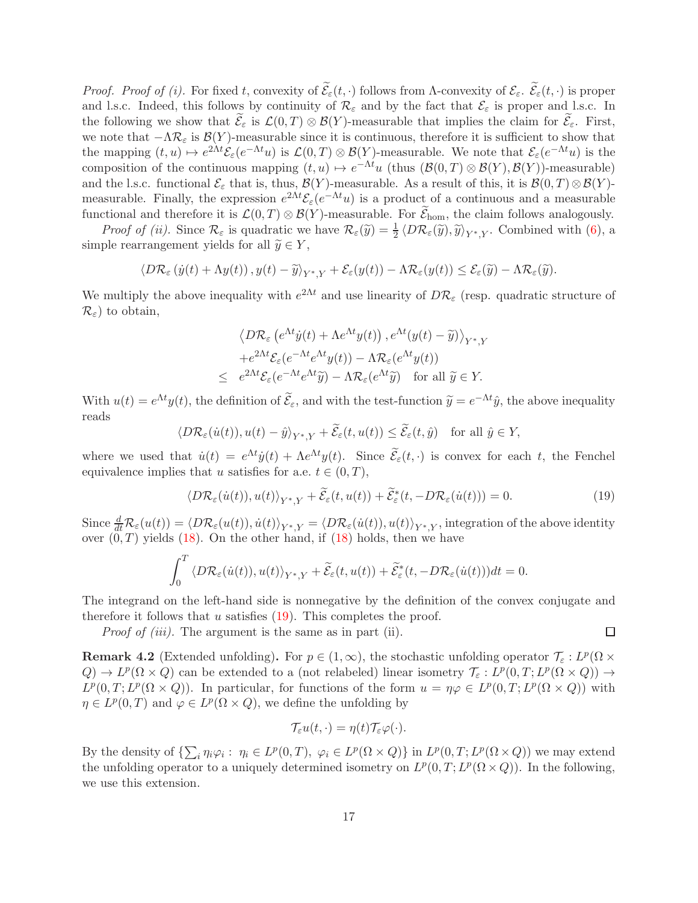*Proof. Proof of (i).* For fixed t, convexity of  $\widetilde{\mathcal{E}}_{\varepsilon}(t, \cdot)$  follows from Λ-convexity of  $\mathcal{E}_{\varepsilon}$ .  $\widetilde{\mathcal{E}}_{\varepsilon}(t, \cdot)$  is proper and l.s.c. Indeed, this follows by continuity of  $\mathcal{R}_{\varepsilon}$  and by the fact that  $\mathcal{E}_{\varepsilon}$  is proper and l.s.c. In the following we show that  $\mathcal{E}_{\varepsilon}$  is  $\mathcal{L}(0,T) \otimes \mathcal{B}(Y)$ -measurable that implies the claim for  $\mathcal{E}_{\varepsilon}$ . First, we note that  $-\Lambda \mathcal{R}_{\varepsilon}$  is  $\mathcal{B}(Y)$ -measurable since it is continuous, therefore it is sufficient to show that the mapping  $(t, u) \mapsto e^{2\Lambda t} \mathcal{E}_{\varepsilon}(e^{-\Lambda t} u)$  is  $\mathcal{L}(0, T) \otimes \mathcal{B}(Y)$ -measurable. We note that  $\mathcal{E}_{\varepsilon}(e^{-\Lambda t} u)$  is the composition of the continuous mapping  $(t, u) \mapsto e^{-\Lambda t}u$  (thus  $(\mathcal{B}(0, T) \otimes \mathcal{B}(Y), \mathcal{B}(Y))$ -measurable) and the l.s.c. functional  $\mathcal{E}_{\varepsilon}$  that is, thus,  $\mathcal{B}(Y)$ -measurable. As a result of this, it is  $\mathcal{B}(0,T) \otimes \mathcal{B}(Y)$ measurable. Finally, the expression  $e^{2\Lambda t} \mathcal{E}_{\varepsilon}(e^{-\Lambda t}u)$  is a product of a continuous and a measurable functional and therefore it is  $\mathcal{L}(0,T) \otimes \mathcal{B}(Y)$ -measurable. For  $\mathcal{E}_{\text{hom}}$ , the claim follows analogously.

*Proof of (ii).* Since  $\mathcal{R}_{\varepsilon}$  is quadratic we have  $\mathcal{R}_{\varepsilon}(\tilde{y}) = \frac{1}{2} \langle D\mathcal{R}_{\varepsilon}(\tilde{y}), \tilde{y} \rangle_{Y^*,Y}$ . Combined with [\(6\)](#page-5-2), a simple rearrangement yields for all  $\widetilde{y} \in Y$ ,

$$
\langle D\mathcal{R}_{\varepsilon}\left(\dot{y}(t)+\Lambda y(t)\right),y(t)-\widetilde{y}\rangle_{Y^*,Y}+\mathcal{E}_{\varepsilon}(y(t))-\Lambda \mathcal{R}_{\varepsilon}(y(t))\leq \mathcal{E}_{\varepsilon}(\widetilde{y})-\Lambda \mathcal{R}_{\varepsilon}(\widetilde{y}).
$$

We multiply the above inequality with  $e^{2\Lambda t}$  and use linearity of  $D\mathcal{R}_{\varepsilon}$  (resp. quadratic structure of  $\mathcal{R}_{\varepsilon}$ ) to obtain,

$$
\langle D\mathcal{R}_{\varepsilon} \left( e^{\Lambda t} \dot{y}(t) + \Lambda e^{\Lambda t} y(t) \right), e^{\Lambda t} (y(t) - \widetilde{y}) \rangle_{Y^*,Y}
$$

$$
+ e^{2\Lambda t} \mathcal{E}_{\varepsilon} (e^{-\Lambda t} e^{\Lambda t} y(t)) - \Lambda \mathcal{R}_{\varepsilon} (e^{\Lambda t} y(t))
$$

$$
\leq e^{2\Lambda t} \mathcal{E}_{\varepsilon} (e^{-\Lambda t} e^{\Lambda t} \widetilde{y}) - \Lambda \mathcal{R}_{\varepsilon} (e^{\Lambda t} \widetilde{y}) \quad \text{for all } \widetilde{y} \in Y.
$$

With  $u(t) = e^{\Lambda t} y(t)$ , the definition of  $\tilde{\mathcal{E}}_{\varepsilon}$ , and with the test-function  $\tilde{y} = e^{-\Lambda t} \hat{y}$ , the above inequality reads

$$
\langle D\mathcal{R}_{\varepsilon}(\dot{u}(t)), u(t) - \hat{y}\rangle_{Y^*,Y} + \widetilde{\mathcal{E}}_{\varepsilon}(t, u(t)) \le \widetilde{\mathcal{E}}_{\varepsilon}(t, \hat{y}) \quad \text{for all } \hat{y} \in Y,
$$

where we used that  $\dot{u}(t) = e^{\Lambda t} \dot{y}(t) + \Lambda e^{\Lambda t} y(t)$ . Since  $\tilde{\mathcal{E}}_{\varepsilon}(t, \cdot)$  is convex for each t, the Fenchel equivalence implies that u satisfies for a.e.  $t \in (0, T)$ ,

<span id="page-16-0"></span>
$$
\langle D\mathcal{R}_{\varepsilon}(\dot{u}(t)), u(t) \rangle_{Y^*,Y} + \widetilde{\mathcal{E}}_{\varepsilon}(t, u(t)) + \widetilde{\mathcal{E}}_{\varepsilon}^*(t, -D\mathcal{R}_{\varepsilon}(\dot{u}(t))) = 0.
$$
\n(19)

Since  $\frac{d}{dt}R_{\varepsilon}(u(t)) = \langle D\mathcal{R}_{\varepsilon}(u(t)), \dot{u}(t)\rangle_{Y^*,Y} = \langle D\mathcal{R}_{\varepsilon}(\dot{u}(t)), u(t)\rangle_{Y^*,Y}$ , integration of the above identity over  $(0, T)$  yields  $(18)$ . On the other hand, if  $(18)$  holds, then we have

$$
\int_0^T \langle D\mathcal{R}_{\varepsilon}(\dot{u}(t)), u(t) \rangle_{Y^*,Y} + \widetilde{\mathcal{E}}_{\varepsilon}(t, u(t)) + \widetilde{\mathcal{E}}_{\varepsilon}^*(t, -D\mathcal{R}_{\varepsilon}(\dot{u}(t)))dt = 0.
$$

The integrand on the left-hand side is nonnegative by the definition of the convex conjugate and therefore it follows that u satisfies  $(19)$ . This completes the proof.

Proof of (iii). The argument is the same as in part (ii).

 $\Box$ 

**Remark 4.2** (Extended unfolding). For  $p \in (1,\infty)$ , the stochastic unfolding operator  $\mathcal{T}_{\varepsilon}: L^p(\Omega \times$  $Q$   $\to L^p(\Omega \times Q)$  can be extended to a (not relabeled) linear isometry  $\mathcal{T}_{\varepsilon}: L^p(0,T; L^p(\Omega \times Q)) \to$  $L^p(0,T;L^p(\Omega\times Q))$ . In particular, for functions of the form  $u = \eta\varphi \in L^p(0,T;L^p(\Omega\times Q))$  with  $\eta \in L^p(0,T)$  and  $\varphi \in L^p(\Omega \times Q)$ , we define the unfolding by

$$
\mathcal{T}_{\varepsilon}u(t,\cdot)=\eta(t)\mathcal{T}_{\varepsilon}\varphi(\cdot).
$$

By the density of  $\{\sum_i \eta_i\varphi_i:\ \eta_i\in L^p(0,T),\ \varphi_i\in L^p(\Omega\times Q)\}\$  in  $L^p(0,T;L^p(\Omega\times Q))$  we may extend the unfolding operator to a uniquely determined isometry on  $L^p(0,T; L^p(\Omega \times Q))$ . In the following, we use this extension.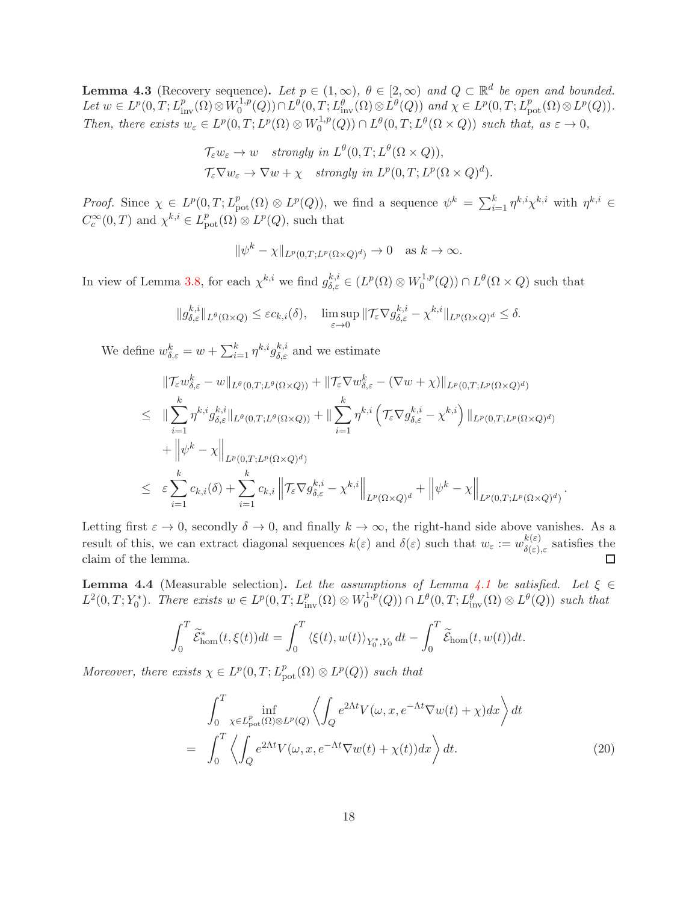<span id="page-17-1"></span>**Lemma 4.3** (Recovery sequence). Let  $p \in (1,\infty)$ ,  $\theta \in [2,\infty)$  and  $Q \subset \mathbb{R}^d$  be open and bounded. Let  $w \in L^p(0,T; L^p_{\text{inv}}(\Omega) \otimes W_0^{1,p}$  $L^1,p(Q)) \cap L^{\theta}(0,T;L^{\theta}_{\text{inv}}(\Omega) \otimes L^{\theta}(Q))$  and  $\chi \in L^p(0,T;L^p_{\text{pot}}(\Omega) \otimes L^p(Q)).$ Then, there exists  $w_{\varepsilon} \in L^p(0,T;L^p(\Omega) \otimes W_0^{1,p})$  $L_0^{1,p}(Q)$   $\cap$   $L^{\theta}(0,T;L^{\theta}(\Omega \times Q))$  such that, as  $\varepsilon \to 0$ ,

$$
\mathcal{T}_{\varepsilon} w_{\varepsilon} \to w \quad strongly \ in \ L^{\theta}(0,T; L^{\theta}(\Omega \times Q)),
$$
  

$$
\mathcal{T}_{\varepsilon} \nabla w_{\varepsilon} \to \nabla w + \chi \quad strongly \ in \ L^{p}(0,T; L^{p}(\Omega \times Q)^{d}).
$$

Proof. Since  $\chi \in L^p(0,T; L^p_{pot}(\Omega) \otimes L^p(Q))$ , we find a sequence  $\psi^k = \sum_{i=1}^k \eta^{k,i} \chi^{k,i}$  with  $\eta^{k,i} \in$  $C_c^{\infty}(0,T)$  and  $\chi^{k,i} \in L_{\text{pot}}^p(\Omega) \otimes L^p(Q)$ , such that

$$
\|\psi^k - \chi\|_{L^p(0,T;L^p(\Omega \times Q)^d)} \to 0 \quad \text{as } k \to \infty.
$$

In view of Lemma [3.8,](#page-10-3) for each  $\chi^{k,i}$  we find  $g_{\delta,\varepsilon}^{k,i} \in (L^p(\Omega) \otimes W_0^{1,p})$  $L_0^{1,p}(Q)$   $\cap$   $L^{\theta}(\Omega \times Q)$  such that

$$
||g_{\delta,\varepsilon}^{k,i}||_{L^{\theta}(\Omega\times Q)} \leq \varepsilon c_{k,i}(\delta), \quad \limsup_{\varepsilon\to 0} ||\mathcal{T}_{\varepsilon}\nabla g_{\delta,\varepsilon}^{k,i} - \chi^{k,i}||_{L^{p}(\Omega\times Q)^{d}} \leq \delta.
$$

We define  $w_{\delta,\varepsilon}^k = w + \sum_{i=1}^k \eta^{k,i} g_{\delta,\varepsilon}^{k,i}$  and we estimate

$$
\|\mathcal{T}_{\varepsilon}w_{\delta,\varepsilon}^{k}-w\|_{L^{\theta}(0,T;L^{\theta}(\Omega\times Q))}+\|\mathcal{T}_{\varepsilon}\nabla w_{\delta,\varepsilon}^{k}-(\nabla w+\chi)\|_{L^{p}(0,T;L^{p}(\Omega\times Q)^{d})}
$$
\n
$$
\leq \|\sum_{i=1}^{k}\eta^{k,i}g_{\delta,\varepsilon}^{k,i}\|_{L^{\theta}(0,T;L^{\theta}(\Omega\times Q))}+\|\sum_{i=1}^{k}\eta^{k,i}\left(\mathcal{T}_{\varepsilon}\nabla g_{\delta,\varepsilon}^{k,i}-\chi^{k,i}\right)\|_{L^{p}(0,T;L^{p}(\Omega\times Q)^{d})}
$$
\n
$$
+\|\psi^{k}-\chi\|_{L^{p}(0,T;L^{p}(\Omega\times Q)^{d})}
$$
\n
$$
\leq \varepsilon\sum_{i=1}^{k}c_{k,i}(\delta)+\sum_{i=1}^{k}c_{k,i}\left\|\mathcal{T}_{\varepsilon}\nabla g_{\delta,\varepsilon}^{k,i}-\chi^{k,i}\right\|_{L^{p}(\Omega\times Q)^{d}}+\left\|\psi^{k}-\chi\right\|_{L^{p}(0,T;L^{p}(\Omega\times Q)^{d})}.
$$

Letting first  $\varepsilon \to 0$ , secondly  $\delta \to 0$ , and finally  $k \to \infty$ , the right-hand side above vanishes. As a result of this, we can extract diagonal sequences  $k(\varepsilon)$  and  $\delta(\varepsilon)$  such that  $w_{\varepsilon} := w_{\delta(\varepsilon)}^{k(\varepsilon)}$  $\delta(\varepsilon), \varepsilon$  satisfies the claim of the lemma.  $\Box$ 

<span id="page-17-0"></span>**Lemma 4.4** (Measurable selection). Let the assumptions of Lemma [4.1](#page-15-1) be satisfied. Let  $\xi \in$  $L^2(0,T;Y_0^*)$ . There exists  $w \in L^p(0,T;L^p_{\text{inv}}(\Omega) \otimes W_0^{1,p})$  $L^{1,p}(Q)$   $\cap$   $L^{\theta}(0,T; L^{\theta}_{\text{inv}}(\Omega) \otimes L^{\theta}(Q))$  such that

$$
\int_0^T \widetilde{\mathcal{E}}_{\text{hom}}^*(t,\xi(t))dt = \int_0^T \langle \xi(t), w(t) \rangle_{Y_0^*,Y_0} dt - \int_0^T \widetilde{\mathcal{E}}_{\text{hom}}(t,w(t))dt.
$$

Moreover, there exists  $\chi \in L^p(0,T; L^p_{\text{pot}}(\Omega) \otimes L^p(Q))$  such that

<span id="page-17-2"></span>
$$
\int_{0}^{T} \inf_{\chi \in L_{\text{pot}}^{p}(\Omega) \otimes L^{p}(Q)} \left\langle \int_{Q} e^{2\Lambda t} V(\omega, x, e^{-\Lambda t} \nabla w(t) + \chi) dx \right\rangle dt
$$
\n
$$
= \int_{0}^{T} \left\langle \int_{Q} e^{2\Lambda t} V(\omega, x, e^{-\Lambda t} \nabla w(t) + \chi(t)) dx \right\rangle dt. \tag{20}
$$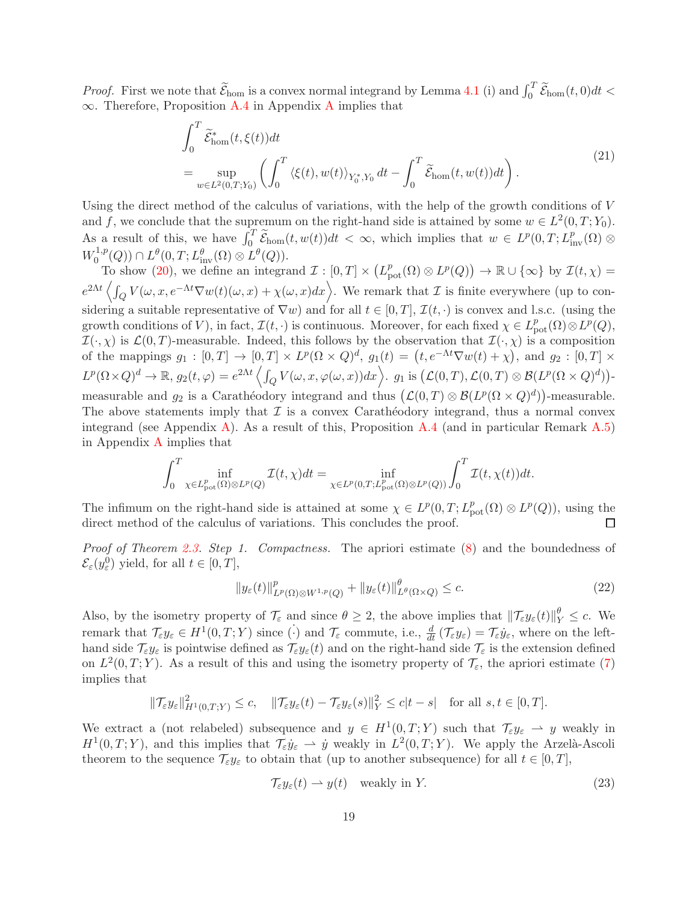*Proof.* First we note that  $\widetilde{\mathcal{E}}_{\text{hom}}$  is a convex normal integrand by Lemma [4.1](#page-15-1) (i) and  $\int_0^T \widetilde{\mathcal{E}}_{\text{hom}}(t,0)dt <$ ∞. Therefore, Proposition [A.4](#page-23-3) in Appendix [A](#page-22-0) implies that

$$
\int_0^T \widetilde{\mathcal{E}}_{\text{hom}}^*(t, \xi(t)) dt
$$
\n
$$
= \sup_{w \in L^2(0,T;Y_0)} \left( \int_0^T \langle \xi(t), w(t) \rangle_{Y_0^*, Y_0} dt - \int_0^T \widetilde{\mathcal{E}}_{\text{hom}}(t, w(t)) dt \right).
$$
\n(21)

Using the direct method of the calculus of variations, with the help of the growth conditions of  $V$ and f, we conclude that the supremum on the right-hand side is attained by some  $w \in L^2(0,T; Y_0)$ . As a result of this, we have  $\int_0^T \widetilde{\mathcal{E}}_{\text{hom}}(t, w(t))dt < \infty$ , which implies that  $w \in L^p(0, T; L^p_{\text{inv}}(\Omega) \otimes$ 0  $W_0^{1,p}$  $L^1,p(Q)) \cap L^{\theta}(0,T;L^{\theta}_{\text{inv}}(\Omega) \otimes L^{\theta}(Q)).$ 

To show [\(20\)](#page-17-2), we define an integrand  $\mathcal{I}: [0,T] \times (L_{pot}^p(\Omega) \otimes L^p(Q)) \to \mathbb{R} \cup \{\infty\}$  by  $\mathcal{I}(t,\chi) =$  $e^{2\Lambda t} \left\langle \int_Q V(\omega, x, e^{-\Lambda t} \nabla w(t)(\omega, x) + \chi(\omega, x) dx \right\rangle$ . We remark that  $\mathcal I$  is finite everywhere (up to considering a suitable representative of  $\nabla w$ ) and for all  $t \in [0, T]$ ,  $\mathcal{I}(t, \cdot)$  is convex and l.s.c. (using the growth conditions of V), in fact,  $\mathcal{I}(t, \cdot)$  is continuous. Moreover, for each fixed  $\chi \in L^p_{\text{pot}}(\Omega) \otimes L^p(Q)$ ,  $\mathcal{I}(\cdot,\chi)$  is  $\mathcal{L}(0,T)$ -measurable. Indeed, this follows by the observation that  $\mathcal{I}(\cdot,\chi)$  is a composition of the mappings  $g_1 : [0,T] \to [0,T] \times L^p(\Omega \times Q)^d$ ,  $g_1(t) = (t, e^{-\Lambda t} \nabla w(t) + \chi)$ , and  $g_2 : [0,T] \times L^p(\Omega \times Q)^d$  $L^p(\Omega\times Q)^d\to\mathbb{R},\ g_2(t,\varphi)=e^{2\Lambda t}\left\langle \int_QV(\omega,x,\varphi(\omega,x))dx\right\rangle\!\!\!,\ g_1\text{ is }\left(\mathcal{L}(0,T),\mathcal{L}(0,T)\otimes\mathcal{B}(L^p(\Omega\times Q)^d)\right)\!\cdot$ measurable and  $g_2$  is a Caratheodory integrand and thus  $(\mathcal{L}(0,T) \otimes \mathcal{B}(L^p(\Omega \times Q)^d))$ -measurable. The above statements imply that  $\mathcal I$  is a convex Carathéodory integrand, thus a normal convex integrand (see Appendix [A\)](#page-22-0). As a result of this, Proposition [A.4](#page-23-3) (and in particular Remark  $A.5$ )

$$
\int_0^T \inf_{\chi \in L^p_{\rm pot}(\Omega)\otimes L^p(Q)} \mathcal{I}(t,\chi) dt = \inf_{\chi \in L^p(0,T;L^p_{\rm pot}(\Omega)\otimes L^p(Q))} \int_0^T \mathcal{I}(t,\chi(t)) dt.
$$

in Appendix [A](#page-22-0) implies that

The infimum on the right-hand side is attained at some  $\chi \in L^p(0,T; L^p_{pot}(\Omega) \otimes L^p(Q))$ , using the direct method of the calculus of variations. This concludes the proof. П

Proof of Theorem [2.3.](#page-6-0) Step 1. Compactness. The apriori estimate [\(8\)](#page-6-3) and the boundedness of  $\mathcal{E}_{\varepsilon}(y_{\varepsilon}^0)$  yield, for all  $t \in [0, T],$ 

<span id="page-18-0"></span>
$$
||y_{\varepsilon}(t)||_{L^{p}(\Omega)\otimes W^{1,p}(Q)}^{p} + ||y_{\varepsilon}(t)||_{L^{\theta}(\Omega\times Q)}^{\theta} \leq c.
$$
\n(22)

Also, by the isometry property of  $\mathcal{T}_{\varepsilon}$  and since  $\theta \geq 2$ , the above implies that  $\|\mathcal{T}_{\varepsilon}y_{\varepsilon}(t)\|_{Y}^{\theta} \leq c$ . We remark that  $\mathcal{T}_{\varepsilon} y_{\varepsilon} \in H^1(0,T;Y)$  since  $\dot{\cdot}$  and  $\mathcal{T}_{\varepsilon}$  commute, i.e.,  $\frac{d}{dt}(\mathcal{T}_{\varepsilon} y_{\varepsilon}) = \mathcal{T}_{\varepsilon} \dot{y}_{\varepsilon}$ , where on the lefthand side  $\mathcal{T}_{\varepsilon}y_{\varepsilon}$  is pointwise defined as  $\mathcal{T}_{\varepsilon}y_{\varepsilon}(t)$  and on the right-hand side  $\mathcal{T}_{\varepsilon}$  is the extension defined on  $L^2(0,T;Y)$ . As a result of this and using the isometry property of  $\mathcal{T}_{\varepsilon}$ , the apriori estimate [\(7\)](#page-6-1) implies that

$$
\|\mathcal{T}_{\varepsilon}y_{\varepsilon}\|_{H^1(0,T;Y)}^2 \le c, \quad \|\mathcal{T}_{\varepsilon}y_{\varepsilon}(t) - \mathcal{T}_{\varepsilon}y_{\varepsilon}(s)\|_{Y}^2 \le c|t-s| \quad \text{for all } s,t \in [0,T].
$$

We extract a (not relabeled) subsequence and  $y \in H^1(0,T;Y)$  such that  $\mathcal{T}_{\varepsilon}y_{\varepsilon} \to y$  weakly in  $H^1(0,T;Y)$ , and this implies that  $\mathcal{T}_{\varepsilon}\dot{y}_{\varepsilon} \rightharpoonup \dot{y}$  weakly in  $L^2(0,T;Y)$ . We apply the Arzelà-Ascoli theorem to the sequence  $\mathcal{T}_{\varepsilon}y_{\varepsilon}$  to obtain that (up to another subsequence) for all  $t \in [0, T]$ ,

<span id="page-18-1"></span>
$$
\mathcal{T}_{\varepsilon}y_{\varepsilon}(t) \rightharpoonup y(t) \quad \text{weakly in } Y. \tag{23}
$$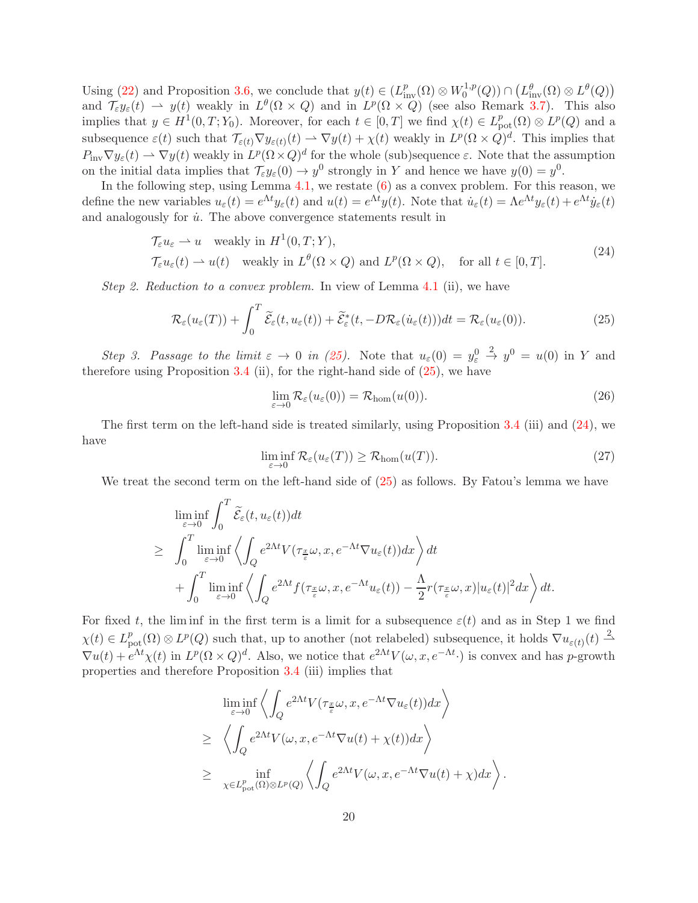Using [\(22\)](#page-18-0) and Proposition [3.6,](#page-10-1) we conclude that  $y(t) \in (L^p_{\text{inv}}(\Omega) \otimes W_0^{1,p})$  $L_0^{1,p}(Q)) \cap (L_{\text{inv}}^{\theta}(\Omega) \otimes L^{\theta}(Q))$ and  $\mathcal{T}_{\varepsilon} y_{\varepsilon}(t) \rightharpoonup y(t)$  weakly in  $L^{\theta}(\Omega \times Q)$  and in  $L^p(\Omega \times Q)$  (see also Remark [3.7\)](#page-10-4). This also implies that  $y \in H^1(0,T; Y_0)$ . Moreover, for each  $t \in [0,T]$  we find  $\chi(t) \in L^p_{\text{pot}}(\Omega) \otimes L^p(Q)$  and a subsequence  $\varepsilon(t)$  such that  $\mathcal{T}_{\varepsilon(t)} \nabla y_{\varepsilon(t)}(t) \rightharpoonup \nabla y(t) + \chi(t)$  weakly in  $L^p(\Omega \times Q)^d$ . This implies that  $P_{\text{inv}}\nabla y_{\varepsilon}(t) \rightharpoonup \nabla y(t)$  weakly in  $L^p(\Omega \times Q)^d$  for the whole (sub)sequence  $\varepsilon$ . Note that the assumption on the initial data implies that  $\mathcal{T}_{\varepsilon} y_{\varepsilon}(0) \to y^0$  strongly in Y and hence we have  $y(0) = y^0$ .

In the following step, using Lemma  $4.1$ , we restate  $(6)$  as a convex problem. For this reason, we define the new variables  $u_{\varepsilon}(t) = e^{\Lambda t} y_{\varepsilon}(t)$  and  $u(t) = e^{\Lambda t} y(t)$ . Note that  $\dot{u}_{\varepsilon}(t) = \Lambda e^{\Lambda t} y_{\varepsilon}(t) + e^{\Lambda t} \dot{y}_{\varepsilon}(t)$ and analogously for  $\dot{u}$ . The above convergence statements result in

$$
\mathcal{T}_{\varepsilon} u_{\varepsilon} \rightharpoonup u \quad \text{weakly in } H^{1}(0, T; Y),
$$
\n
$$
\mathcal{T}_{\varepsilon} u_{\varepsilon}(t) \rightharpoonup u(t) \quad \text{weakly in } L^{\theta}(\Omega \times Q) \text{ and } L^{p}(\Omega \times Q), \quad \text{for all } t \in [0, T].
$$
\n
$$
(24)
$$

Step 2. Reduction to a convex problem. In view of Lemma [4.1](#page-15-1) (ii), we have

<span id="page-19-0"></span>
$$
\mathcal{R}_{\varepsilon}(u_{\varepsilon}(T)) + \int_{0}^{T} \widetilde{\mathcal{E}}_{\varepsilon}(t, u_{\varepsilon}(t)) + \widetilde{\mathcal{E}}_{\varepsilon}^{*}(t, -D\mathcal{R}_{\varepsilon}(\dot{u}_{\varepsilon}(t)))dt = \mathcal{R}_{\varepsilon}(u_{\varepsilon}(0)).
$$
\n(25)

Step 3. Passage to the limit  $\varepsilon \to 0$  in [\(25\)](#page-19-0). Note that  $u_{\varepsilon}(0) = y_{\varepsilon}^0$  $\stackrel{2}{\rightarrow} y^0 = u(0)$  in Y and therefore using Proposition  $3.4$  (ii), for the right-hand side of  $(25)$ , we have

<span id="page-19-2"></span><span id="page-19-1"></span>
$$
\lim_{\varepsilon \to 0} \mathcal{R}_{\varepsilon}(u_{\varepsilon}(0)) = \mathcal{R}_{\text{hom}}(u(0)). \tag{26}
$$

The first term on the left-hand side is treated similarly, using Proposition [3.4](#page-8-3) (iii) and [\(24\)](#page-19-1), we have

<span id="page-19-3"></span>
$$
\liminf_{\varepsilon \to 0} \mathcal{R}_{\varepsilon}(u_{\varepsilon}(T)) \ge \mathcal{R}_{\text{hom}}(u(T)).
$$
\n(27)

We treat the second term on the left-hand side of  $(25)$  as follows. By Fatou's lemma we have

$$
\liminf_{\varepsilon \to 0} \int_0^T \widetilde{\mathcal{E}}_{\varepsilon}(t, u_{\varepsilon}(t)) dt
$$
\n
$$
\geq \int_0^T \liminf_{\varepsilon \to 0} \left\langle \int_Q e^{2\Lambda t} V(\tau_{\frac{x}{\varepsilon}} \omega, x, e^{-\Lambda t} \nabla u_{\varepsilon}(t)) dx \right\rangle dt
$$
\n
$$
+ \int_0^T \liminf_{\varepsilon \to 0} \left\langle \int_Q e^{2\Lambda t} f(\tau_{\frac{x}{\varepsilon}} \omega, x, e^{-\Lambda t} u_{\varepsilon}(t)) - \frac{\Lambda}{2} r(\tau_{\frac{x}{\varepsilon}} \omega, x) |u_{\varepsilon}(t)|^2 dx \right\rangle dt.
$$

For fixed t, the liminf in the first term is a limit for a subsequence  $\varepsilon(t)$  and as in Step 1 we find  $\chi(t) \in L^p_{\text{pot}}(\Omega) \otimes L^p(Q)$  such that, up to another (not relabeled) subsequence, it holds  $\nabla u_{\varepsilon(t)}(t) \stackrel{2}{\rightharpoonup}$  $\nabla u(t) + e^{\Lambda t}\chi(t)$  in  $L^p(\Omega \times Q)^d$ . Also, we notice that  $e^{2\Lambda t}V(\omega, x, e^{-\Lambda t})$  is convex and has p-growth properties and therefore Proposition [3.4](#page-8-3) (iii) implies that

$$
\liminf_{\varepsilon \to 0} \left\langle \int_Q e^{2\Lambda t} V(\tau_{\frac{x}{\varepsilon}} \omega, x, e^{-\Lambda t} \nabla u_{\varepsilon}(t)) dx \right\rangle
$$
\n
$$
\geq \left\langle \int_Q e^{2\Lambda t} V(\omega, x, e^{-\Lambda t} \nabla u(t) + \chi(t)) dx \right\rangle
$$
\n
$$
\geq \inf_{\chi \in L^p_{\text{pot}}(\Omega) \otimes L^p(Q)} \left\langle \int_Q e^{2\Lambda t} V(\omega, x, e^{-\Lambda t} \nabla u(t) + \chi) dx \right\rangle.
$$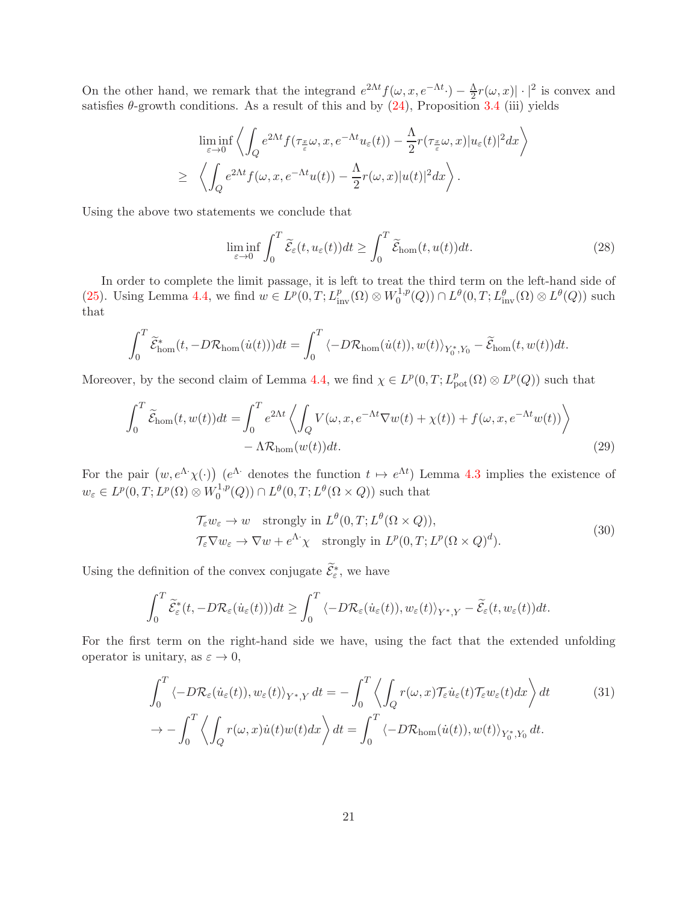On the other hand, we remark that the integrand  $e^{2\Lambda t} f(\omega, x, e^{-\Lambda t}) - \frac{\Lambda}{2} r(\omega, x) \cdot |^{2}$  is convex and satisfies  $\theta$ -growth conditions. As a result of this and by  $(24)$ , Proposition [3.4](#page-8-3) (iii) yields

$$
\liminf_{\varepsilon \to 0} \left\langle \int_Q e^{2\Lambda t} f(\tau_{\frac{x}{\varepsilon}} \omega, x, e^{-\Lambda t} u_\varepsilon(t)) - \frac{\Lambda}{2} r(\tau_{\frac{x}{\varepsilon}} \omega, x) |u_\varepsilon(t)|^2 dx \right\rangle
$$
  
\n
$$
\geq \left\langle \int_Q e^{2\Lambda t} f(\omega, x, e^{-\Lambda t} u(t)) - \frac{\Lambda}{2} r(\omega, x) |u(t)|^2 dx \right\rangle.
$$

Using the above two statements we conclude that

<span id="page-20-3"></span>
$$
\liminf_{\varepsilon \to 0} \int_0^T \widetilde{\mathcal{E}}_{\varepsilon}(t, u_{\varepsilon}(t)) dt \ge \int_0^T \widetilde{\mathcal{E}}_{\text{hom}}(t, u(t)) dt. \tag{28}
$$

In order to complete the limit passage, it is left to treat the third term on the left-hand side of [\(25\)](#page-19-0). Using Lemma [4.4,](#page-17-0) we find  $w \in L^p(0,T; L^p_{\text{inv}}(\Omega) \otimes W_0^{1,p})$  $L^{1,p}(Q)$   $\cap$   $L^{\theta}(0,T; L^{\theta}_{\text{inv}}(\Omega) \otimes L^{\theta}(Q))$  such that

$$
\int_0^T \widetilde{\mathcal{E}}_{\text{hom}}^*(t, -D\mathcal{R}_{\text{hom}}(\dot{u}(t)))dt = \int_0^T \langle -D\mathcal{R}_{\text{hom}}(\dot{u}(t)), w(t) \rangle_{Y_0^*, Y_0} - \widetilde{\mathcal{E}}_{\text{hom}}(t, w(t))dt.
$$

Moreover, by the second claim of Lemma [4.4,](#page-17-0) we find  $\chi \in L^p(0,T; L^p_{pot}(\Omega) \otimes L^p(Q))$  such that

$$
\int_0^T \widetilde{\mathcal{E}}_{\text{hom}}(t, w(t))dt = \int_0^T e^{2\Lambda t} \left\langle \int_Q V(\omega, x, e^{-\Lambda t} \nabla w(t) + \chi(t)) + f(\omega, x, e^{-\Lambda t} w(t)) \right\rangle
$$
  
-  $\Lambda \mathcal{R}_{\text{hom}}(w(t))dt.$  (29)

For the pair  $(w, e^{\Lambda} \chi(\cdot))$   $(e^{\Lambda} \cdot$  denotes the function  $t \mapsto e^{\Lambda t}$ ) Lemma [4.3](#page-17-1) implies the existence of  $w_{\varepsilon} \in L^p(0,T; L^p(\Omega) \otimes W_0^{1,p}$  $L^{1,p}(Q)$   $\cap$   $L^{\theta}(0,T;L^{\theta}(\Omega \times Q))$  such that

<span id="page-20-2"></span><span id="page-20-1"></span><span id="page-20-0"></span>
$$
\mathcal{T}_{\varepsilon} w_{\varepsilon} \to w \quad \text{strongly in } L^{\theta}(0, T; L^{\theta}(\Omega \times Q)), \n\mathcal{T}_{\varepsilon} \nabla w_{\varepsilon} \to \nabla w + e^{\Lambda \cdot} \chi \quad \text{strongly in } L^{p}(0, T; L^{p}(\Omega \times Q)^{d}).
$$
\n(30)

Using the definition of the convex conjugate  $\tilde{\mathcal{E}}_{\varepsilon}^*$ , we have

$$
\int_0^T \widetilde{\mathcal{E}}^*_{\varepsilon}(t, -D\mathcal{R}_{\varepsilon}(\dot{u}_{\varepsilon}(t)))dt \geq \int_0^T \langle -D\mathcal{R}_{\varepsilon}(\dot{u}_{\varepsilon}(t)), w_{\varepsilon}(t) \rangle_{Y^*,Y} - \widetilde{\mathcal{E}}_{\varepsilon}(t, w_{\varepsilon}(t))dt.
$$

For the first term on the right-hand side we have, using the fact that the extended unfolding operator is unitary, as  $\varepsilon \to 0$ ,

$$
\int_0^T \langle -D\mathcal{R}_{\varepsilon}(\dot{u}_{\varepsilon}(t)), w_{\varepsilon}(t) \rangle_{Y^*,Y} dt = -\int_0^T \langle \int_Q r(\omega, x) \mathcal{T}_{\varepsilon} \dot{u}_{\varepsilon}(t) \mathcal{T}_{\varepsilon} w_{\varepsilon}(t) dx \rangle dt \qquad (31)
$$

$$
\to -\int_0^T \langle \int_Q r(\omega, x) \dot{u}(t) w(t) dx \rangle dt = \int_0^T \langle -D\mathcal{R}_{\text{hom}}(\dot{u}(t)), w(t) \rangle_{Y_0^*,Y_0} dt.
$$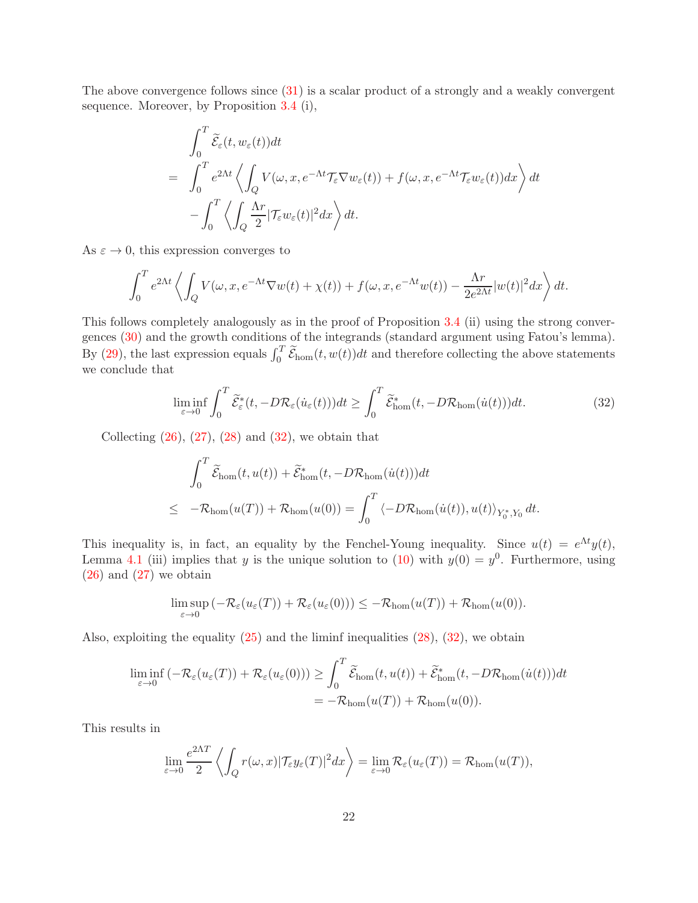The above convergence follows since [\(31\)](#page-20-0) is a scalar product of a strongly and a weakly convergent sequence. Moreover, by Proposition [3.4](#page-8-3) (i),

$$
\int_0^T \widetilde{\mathcal{E}}_{\varepsilon}(t, w_{\varepsilon}(t)) dt
$$
\n
$$
= \int_0^T e^{2\Lambda t} \left\langle \int_Q V(\omega, x, e^{-\Lambda t} \mathcal{T}_{\varepsilon} \nabla w_{\varepsilon}(t)) + f(\omega, x, e^{-\Lambda t} \mathcal{T}_{\varepsilon} w_{\varepsilon}(t)) dx \right\rangle dt
$$
\n
$$
- \int_0^T \left\langle \int_Q \frac{\Lambda r}{2} |\mathcal{T}_{\varepsilon} w_{\varepsilon}(t)|^2 dx \right\rangle dt.
$$

As  $\varepsilon \to 0$ , this expression converges to

$$
\int_0^T e^{2\Lambda t} \left\langle \int_Q V(\omega, x, e^{-\Lambda t} \nabla w(t) + \chi(t)) + f(\omega, x, e^{-\Lambda t} w(t)) - \frac{\Lambda r}{2e^{2\Lambda t}} |w(t)|^2 dx \right\rangle dt.
$$

This follows completely analogously as in the proof of Proposition [3.4](#page-8-3) (ii) using the strong convergences [\(30\)](#page-20-1) and the growth conditions of the integrands (standard argument using Fatou's lemma). By [\(29\)](#page-20-2), the last expression equals  $\int_0^T \widetilde{\mathcal{E}}_{hom}(t, w(t))dt$  and therefore collecting the above statements we conclude that

<span id="page-21-0"></span>
$$
\liminf_{\varepsilon \to 0} \int_0^T \widetilde{\mathcal{E}}_{\varepsilon}^*(t, -D\mathcal{R}_{\varepsilon}(\dot{u}_{\varepsilon}(t)))dt \ge \int_0^T \widetilde{\mathcal{E}}_{\text{hom}}^*(t, -D\mathcal{R}_{\text{hom}}(\dot{u}(t)))dt.
$$
\n(32)

Collecting  $(26)$ ,  $(27)$ ,  $(28)$  and  $(32)$ , we obtain that

$$
\int_0^T \widetilde{\mathcal{E}}_{\text{hom}}(t, u(t)) + \widetilde{\mathcal{E}}_{\text{hom}}^*(t, -D\mathcal{R}_{\text{hom}}(\dot{u}(t)))dt
$$
\n
$$
\leq -\mathcal{R}_{\text{hom}}(u(T)) + \mathcal{R}_{\text{hom}}(u(0)) = \int_0^T \langle -D\mathcal{R}_{\text{hom}}(\dot{u}(t)), u(t) \rangle_{Y_0^*, Y_0} dt.
$$

This inequality is, in fact, an equality by the Fenchel-Young inequality. Since  $u(t) = e^{\Lambda t} y(t)$ , Lemma [4.1](#page-15-1) (iii) implies that y is the unique solution to [\(10\)](#page-6-2) with  $y(0) = y^0$ . Furthermore, using  $(26)$  and  $(27)$  we obtain

$$
\limsup_{\varepsilon \to 0} \left( -\mathcal{R}_{\varepsilon}(u_{\varepsilon}(T)) + \mathcal{R}_{\varepsilon}(u_{\varepsilon}(0)) \right) \leq -\mathcal{R}_{\text{hom}}(u(T)) + \mathcal{R}_{\text{hom}}(u(0)).
$$

Also, exploiting the equality  $(25)$  and the liminf inequalities  $(28)$ ,  $(32)$ , we obtain

$$
\liminf_{\varepsilon \to 0} \left( -\mathcal{R}_{\varepsilon}(u_{\varepsilon}(T)) + \mathcal{R}_{\varepsilon}(u_{\varepsilon}(0)) \right) \ge \int_0^T \widetilde{\mathcal{E}}_{\text{hom}}(t, u(t)) + \widetilde{\mathcal{E}}_{\text{hom}}^*(t, -D\mathcal{R}_{\text{hom}}(\dot{u}(t)))dt
$$
  
= -\mathcal{R}\_{\text{hom}}(u(T)) + \mathcal{R}\_{\text{hom}}(u(0)).

This results in

$$
\lim_{\varepsilon \to 0} \frac{e^{2\Lambda T}}{2} \left\langle \int_Q r(\omega, x) |\mathcal{T}_{\varepsilon} y_{\varepsilon}(T)|^2 dx \right\rangle = \lim_{\varepsilon \to 0} \mathcal{R}_{\varepsilon}(u_{\varepsilon}(T)) = \mathcal{R}_{\text{hom}}(u(T)),
$$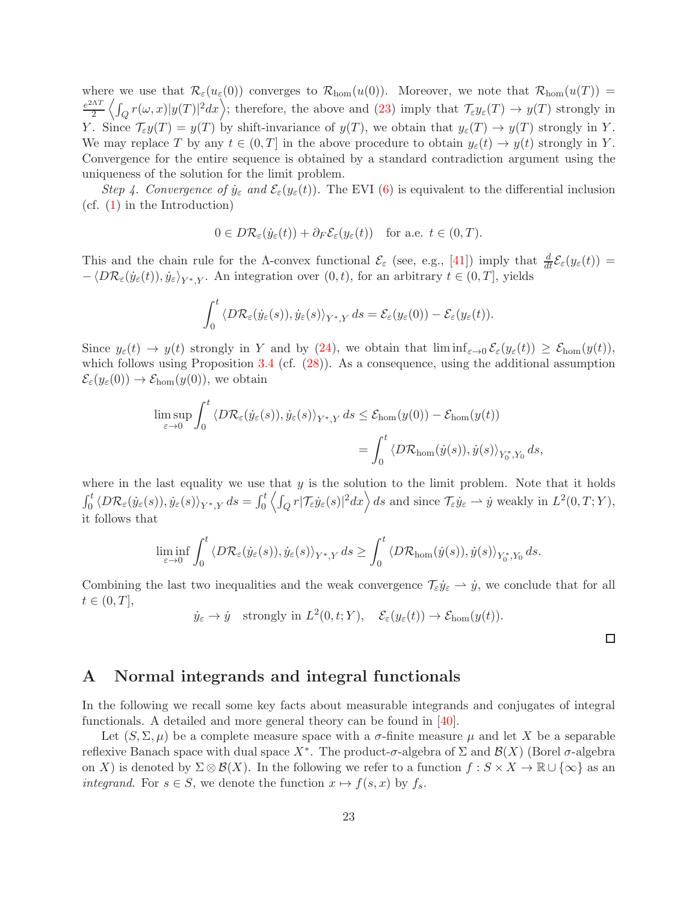where we use that  $\mathcal{R}_{\varepsilon}(u_{\varepsilon}(0))$  converges to  $\mathcal{R}_{\text{hom}}(u(0))$ . Moreover, we note that  $\mathcal{R}_{\text{hom}}(u(T))$  =  $e^{2\Lambda T}$  $\frac{\Delta T}{2} \left\langle \int_Q r(\omega, x) |y(T)|^2 dx \right\rangle$ ; therefore, the above and [\(23\)](#page-18-1) imply that  $\mathcal{T}_{\varepsilon} y_{\varepsilon}(T) \to y(T)$  strongly in Y. Since  $\mathcal{T}_{\varepsilon}y(T) = y(T)$  by shift-invariance of  $y(T)$ , we obtain that  $y_{\varepsilon}(T) \to y(T)$  strongly in Y. We may replace T by any  $t \in (0, T]$  in the above procedure to obtain  $y_{\varepsilon}(t) \to y(t)$  strongly in Y. Convergence for the entire sequence is obtained by a standard contradiction argument using the uniqueness of the solution for the limit problem.

Step 4. Convergence of  $\dot{y}_{\varepsilon}$  and  $\mathcal{E}_{\varepsilon}(y_{\varepsilon}(t))$ . The EVI [\(6\)](#page-5-2) is equivalent to the differential inclusion (cf. [\(1\)](#page-1-0) in the Introduction)

$$
0 \in D\mathcal{R}_{\varepsilon}(\dot{y}_{\varepsilon}(t)) + \partial_F \mathcal{E}_{\varepsilon}(y_{\varepsilon}(t)) \quad \text{for a.e. } t \in (0, T).
$$

This and the chain rule for the  $\Lambda$ -convex functional  $\mathcal{E}_{\varepsilon}$  (see, e.g., [\[41\]](#page-26-14)) imply that  $\frac{d}{dt}\mathcal{E}_{\varepsilon}(y_{\varepsilon}(t))=$  $-\langle D\mathcal{R}_{\varepsilon}(\dot{y}_{\varepsilon}(t)), \dot{y}_{\varepsilon}\rangle_{Y^*,Y}$ . An integration over  $(0, t)$ , for an arbitrary  $t \in (0, T]$ , yields

$$
\int_0^t \langle D\mathcal{R}_{\varepsilon}(\dot{y}_{\varepsilon}(s)), \dot{y}_{\varepsilon}(s) \rangle_{Y^*,Y} ds = \mathcal{E}_{\varepsilon}(y_{\varepsilon}(0)) - \mathcal{E}_{\varepsilon}(y_{\varepsilon}(t)).
$$

Since  $y_{\varepsilon}(t) \to y(t)$  strongly in Y and by [\(24\)](#page-19-1), we obtain that  $\liminf_{\varepsilon \to 0} \mathcal{E}_{\varepsilon}(y_{\varepsilon}(t)) \geq \mathcal{E}_{\text{hom}}(y(t)),$ which follows using Proposition  $3.4$  (cf.  $(28)$ ). As a consequence, using the additional assumption  $\mathcal{E}_{\varepsilon}(y_{\varepsilon}(0)) \to \mathcal{E}_{\text{hom}}(y(0)),$  we obtain

$$
\limsup_{\varepsilon \to 0} \int_0^t \langle D\mathcal{R}_{\varepsilon}(\dot{y}_{\varepsilon}(s)), \dot{y}_{\varepsilon}(s) \rangle_{Y^*,Y} ds \le \mathcal{E}_{\text{hom}}(y(0)) - \mathcal{E}_{\text{hom}}(y(t))
$$

$$
= \int_0^t \langle D\mathcal{R}_{\text{hom}}(\dot{y}(s)), \dot{y}(s) \rangle_{Y_0^*,Y_0} ds,
$$

where in the last equality we use that  $y$  is the solution to the limit problem. Note that it holds  $\int_0^t \langle D\mathcal{R}_{\varepsilon}(\dot{y}_{\varepsilon}(s)), \dot{y}_{\varepsilon}(s)\rangle_{Y^*,Y} ds = \int_0^t \langle \int_Q r | \mathcal{T}_{\varepsilon} \dot{y}_{\varepsilon}(s) |^2 dx \rangle ds$  and since  $\mathcal{T}_{\varepsilon} \dot{y}_{\varepsilon} \to \dot{y}$  weakly in  $L^2(0,T;Y)$ , it follows that

$$
\liminf_{\varepsilon \to 0} \int_0^t \left\langle D\mathcal{R}_{\varepsilon}(\dot{y}_{\varepsilon}(s)), \dot{y}_{\varepsilon}(s) \right\rangle_{Y^*,Y} ds \ge \int_0^t \left\langle D\mathcal{R}_{\text{hom}}(\dot{y}(s)), \dot{y}(s) \right\rangle_{Y_0^*,Y_0} ds.
$$

Combining the last two inequalities and the weak convergence  $\mathcal{T}_{\varepsilon}\dot{y}_{\varepsilon} \to \dot{y}$ , we conclude that for all  $t \in (0, T],$ 

$$
\dot{y}_{\varepsilon} \to \dot{y}
$$
 strongly in  $L^2(0, t; Y)$ ,  $\mathcal{E}_{\varepsilon}(y_{\varepsilon}(t)) \to \mathcal{E}_{\text{hom}}(y(t))$ .

 $\Box$ 

## <span id="page-22-0"></span>A Normal integrands and integral functionals

In the following we recall some key facts about measurable integrands and conjugates of integral functionals. A detailed and more general theory can be found in [\[40\]](#page-26-15).

Let  $(S, \Sigma, \mu)$  be a complete measure space with a  $\sigma$ -finite measure  $\mu$  and let X be a separable reflexive Banach space with dual space X<sup>\*</sup>. The product-σ-algebra of  $\Sigma$  and  $\mathcal{B}(X)$  (Borel σ-algebra on X) is denoted by  $\Sigma \otimes \mathcal{B}(X)$ . In the following we refer to a function  $f : S \times X \to \mathbb{R} \cup {\infty}$  as an integrand. For  $s \in S$ , we denote the function  $x \mapsto f(s, x)$  by  $f_s$ .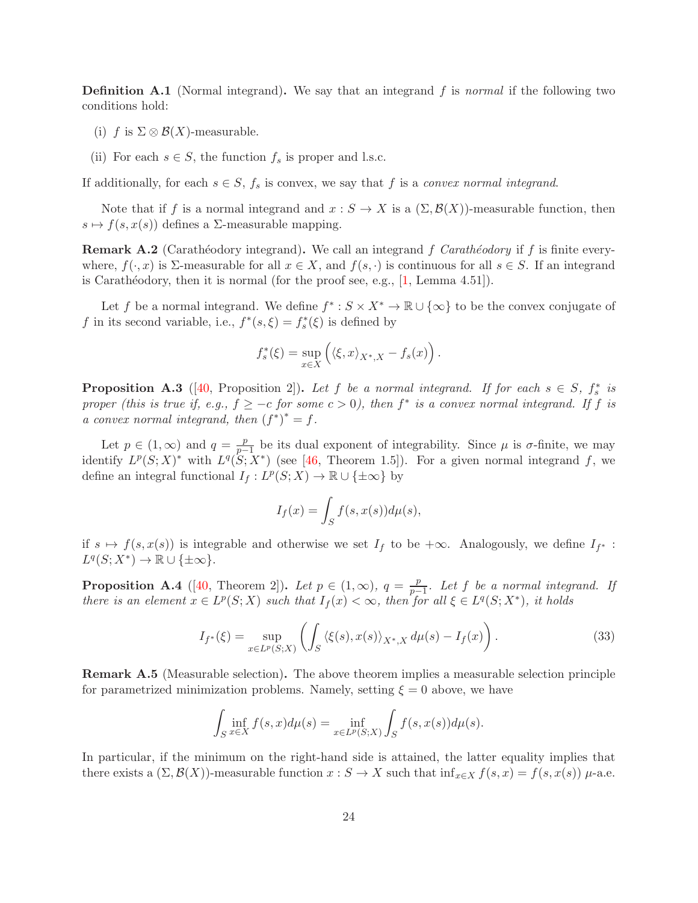<span id="page-23-2"></span>**Definition A.1** (Normal integrand). We say that an integrand f is normal if the following two conditions hold:

- (i) f is  $\Sigma \otimes \mathcal{B}(X)$ -measurable.
- (ii) For each  $s \in S$ , the function  $f_s$  is proper and l.s.c.

If additionally, for each  $s \in S$ ,  $f_s$  is convex, we say that f is a convex normal integrand.

Note that if f is a normal integrand and  $x : S \to X$  is a  $(\Sigma, \mathcal{B}(X))$ -measurable function, then  $s \mapsto f(s, x(s))$  defines a  $\Sigma$ -measurable mapping.

<span id="page-23-1"></span>**Remark A.2** (Carathéodory integrand). We call an integrand f Carathéodory if f is finite everywhere,  $f(\cdot, x)$  is  $\Sigma$ -measurable for all  $x \in X$ , and  $f(s, \cdot)$  is continuous for all  $s \in S$ . If an integrand is Carathéodory, then it is normal (for the proof see, e.g.,  $[1, \text{Lemma } 4.51]$  $[1, \text{Lemma } 4.51]$ ).

Let f be a normal integrand. We define  $f^* : S \times X^* \to \mathbb{R} \cup {\infty}$  to be the convex conjugate of f in its second variable, i.e.,  $f^*(s, \xi) = f_s^*(\xi)$  is defined by

$$
f_s^*(\xi) = \sup_{x \in X} \left( \langle \xi, x \rangle_{X^*, X} - f_s(x) \right).
$$

**Proposition A.3** ([\[40,](#page-26-15) Proposition 2]). Let f be a normal integrand. If for each  $s \in S$ ,  $f_s^*$  is proper (this is true if, e.g.,  $f \geq -c$  for some  $c > 0$ ), then  $f^*$  is a convex normal integrand. If f is a convex normal integrand, then  $(f^*)^* = f$ .

Let  $p \in (1,\infty)$  and  $q = \frac{p}{p-q}$  $\frac{p}{p-1}$  be its dual exponent of integrability. Since  $\mu$  is  $\sigma$ -finite, we may identify  $L^p(S;X)^*$  with  $L^q(S;X^*)$  (see [\[46,](#page-26-16) Theorem 1.5]). For a given normal integrand f, we define an integral functional  $I_f: L^p(S;X) \to \mathbb{R} \cup {\{\pm \infty\}}$  by

$$
I_f(x) = \int_S f(s, x(s)) d\mu(s),
$$

if  $s \mapsto f(s, x(s))$  is integrable and otherwise we set  $I_f$  to be  $+\infty$ . Analogously, we define  $I_{f^*}$ :  $L^q(S;X^*)\to \mathbb{R}\cup\{\pm\infty\}.$ 

<span id="page-23-3"></span>**Proposition A.4** ([\[40,](#page-26-15) Theorem 2]). Let  $p \in (1,\infty)$ ,  $q = \frac{p}{n-1}$  $\frac{p}{p-1}$ . Let f be a normal integrand. If there is an element  $x \in L^p(S;X)$  such that  $I_f(x) < \infty$ , then for all  $\xi \in L^q(S;X^*)$ , it holds

$$
I_{f^*}(\xi) = \sup_{x \in L^p(S;X)} \left( \int_S \langle \xi(s), x(s) \rangle_{X^*,X} d\mu(s) - I_f(x) \right). \tag{33}
$$

<span id="page-23-0"></span>Remark A.5 (Measurable selection). The above theorem implies a measurable selection principle for parametrized minimization problems. Namely, setting  $\xi = 0$  above, we have

$$
\int_{S} \inf_{x \in X} f(s, x) d\mu(s) = \inf_{x \in L^p(S;X)} \int_{S} f(s, x(s)) d\mu(s).
$$

In particular, if the minimum on the right-hand side is attained, the latter equality implies that there exists a  $(\Sigma,\mathcal{B}(X))$ -measurable function  $x : S \to X$  such that  $\inf_{x \in X} f(s,x) = f(s,x(s))$   $\mu$ -a.e.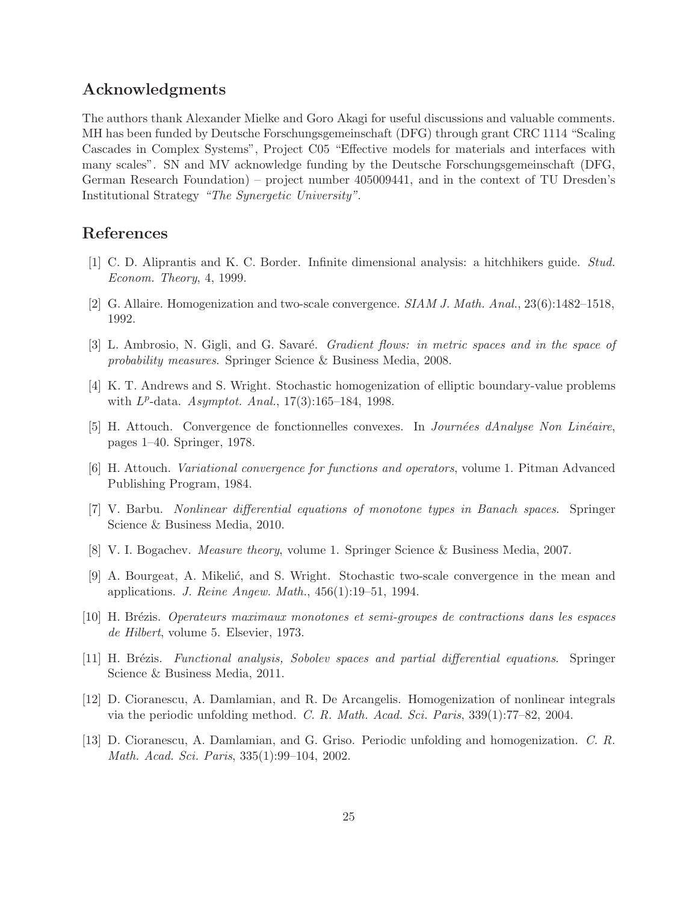## Acknowledgments

The authors thank Alexander Mielke and Goro Akagi for useful discussions and valuable comments. MH has been funded by Deutsche Forschungsgemeinschaft (DFG) through grant CRC 1114 "Scaling Cascades in Complex Systems", Project C05 "Effective models for materials and interfaces with many scales". SN and MV acknowledge funding by the Deutsche Forschungsgemeinschaft (DFG, German Research Foundation) – project number 405009441, and in the context of TU Dresden's Institutional Strategy "The Synergetic University".

## <span id="page-24-12"></span>References

- <span id="page-24-4"></span>[1] C. D. Aliprantis and K. C. Border. Infinite dimensional analysis: a hitchhikers guide. Stud. Econom. Theory, 4, 1999.
- <span id="page-24-1"></span>[2] G. Allaire. Homogenization and two-scale convergence. SIAM J. Math. Anal., 23(6):1482–1518, 1992.
- <span id="page-24-8"></span>[3] L. Ambrosio, N. Gigli, and G. Savaré. *Gradient flows: in metric spaces and in the space of* probability measures. Springer Science & Business Media, 2008.
- <span id="page-24-2"></span>[4] K. T. Andrews and S. Wright. Stochastic homogenization of elliptic boundary-value problems with  $L^p$ -data.  $Asymptot.$  Anal.,  $17(3):165-184$ , 1998.
- <span id="page-24-3"></span>[5] H. Attouch. Convergence de fonctionnelles convexes. In *Journées dAnalyse Non Linéaire*, pages 1–40. Springer, 1978.
- <span id="page-24-9"></span>[6] H. Attouch. Variational convergence for functions and operators, volume 1. Pitman Advanced Publishing Program, 1984.
- <span id="page-24-11"></span>[7] V. Barbu. Nonlinear differential equations of monotone types in Banach spaces. Springer Science & Business Media, 2010.
- <span id="page-24-7"></span>[8] V. I. Bogachev. Measure theory, volume 1. Springer Science & Business Media, 2007.
- [9] A. Bourgeat, A. Mikelić, and S. Wright. Stochastic two-scale convergence in the mean and applications. J. Reine Angew. Math., 456(1):19–51, 1994.
- <span id="page-24-10"></span><span id="page-24-0"></span>[10] H. Br´ezis. Operateurs maximaux monotones et semi-groupes de contractions dans les espaces de Hilbert, volume 5. Elsevier, 1973.
- <span id="page-24-6"></span>[11] H. Brézis. Functional analysis, Sobolev spaces and partial differential equations. Springer Science & Business Media, 2011.
- <span id="page-24-5"></span>[12] D. Cioranescu, A. Damlamian, and R. De Arcangelis. Homogenization of nonlinear integrals via the periodic unfolding method. C. R. Math. Acad. Sci. Paris, 339(1):77–82, 2004.
- [13] D. Cioranescu, A. Damlamian, and G. Griso. Periodic unfolding and homogenization. C. R. Math. Acad. Sci. Paris, 335(1):99–104, 2002.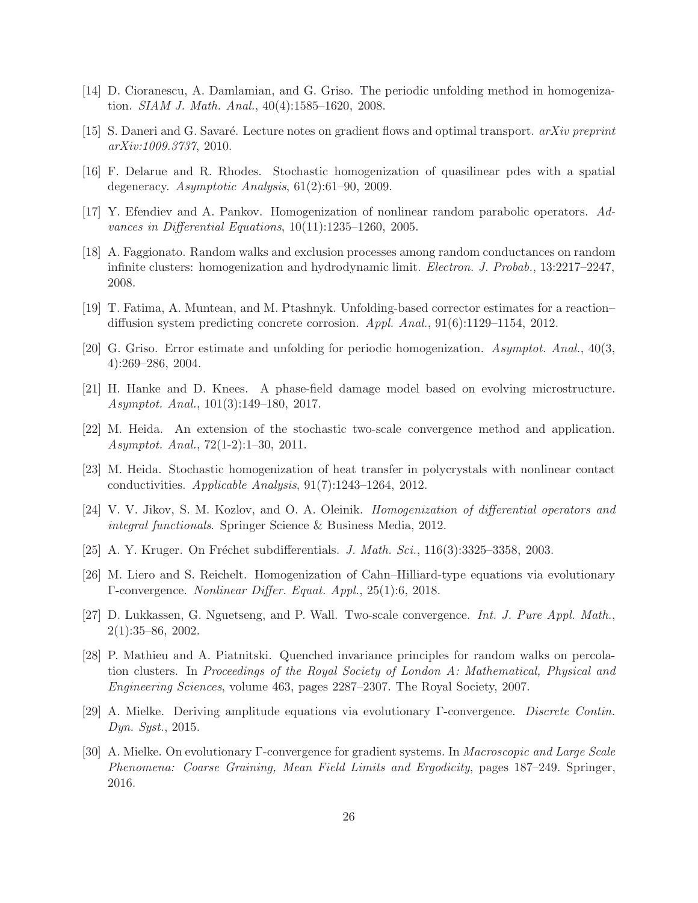- <span id="page-25-5"></span><span id="page-25-2"></span>[14] D. Cioranescu, A. Damlamian, and G. Griso. The periodic unfolding method in homogenization. SIAM J. Math. Anal., 40(4):1585–1620, 2008.
- <span id="page-25-13"></span>[15] S. Daneri and G. Savaré. Lecture notes on gradient flows and optimal transport.  $arXiv$  preprint arXiv:1009.3737, 2010.
- <span id="page-25-15"></span>[16] F. Delarue and R. Rhodes. Stochastic homogenization of quasilinear pdes with a spatial degeneracy. Asymptotic Analysis, 61(2):61–90, 2009.
- <span id="page-25-10"></span>[17] Y. Efendiev and A. Pankov. Homogenization of nonlinear random parabolic operators. Advances in Differential Equations, 10(11):1235–1260, 2005.
- [18] A. Faggionato. Random walks and exclusion processes among random conductances on random infinite clusters: homogenization and hydrodynamic limit. Electron. J. Probab., 13:2217–2247, 2008.
- <span id="page-25-12"></span><span id="page-25-6"></span>[19] T. Fatima, A. Muntean, and M. Ptashnyk. Unfolding-based corrector estimates for a reaction– diffusion system predicting concrete corrosion. Appl. Anal., 91(6):1129–1154, 2012.
- <span id="page-25-8"></span>[20] G. Griso. Error estimate and unfolding for periodic homogenization. Asymptot. Anal., 40(3, 4):269–286, 2004.
- <span id="page-25-11"></span>[21] H. Hanke and D. Knees. A phase-field damage model based on evolving microstructure. Asymptot. Anal., 101(3):149–180, 2017.
- [22] M. Heida. An extension of the stochastic two-scale convergence method and application. Asymptot. Anal., 72(1-2):1–30, 2011.
- <span id="page-25-16"></span><span id="page-25-14"></span>[23] M. Heida. Stochastic homogenization of heat transfer in polycrystals with nonlinear contact conductivities. Applicable Analysis, 91(7):1243–1264, 2012.
- <span id="page-25-0"></span>[24] V. V. Jikov, S. M. Kozlov, and O. A. Oleinik. Homogenization of differential operators and integral functionals. Springer Science & Business Media, 2012.
- <span id="page-25-7"></span>[25] A. Y. Kruger. On Fréchet subdifferentials. *J. Math. Sci.*,  $116(3):3325-3358$ , 2003.
- <span id="page-25-4"></span>[26] M. Liero and S. Reichelt. Homogenization of Cahn–Hilliard-type equations via evolutionary Γ-convergence. Nonlinear Differ. Equat. Appl., 25(1):6, 2018.
- [27] D. Lukkassen, G. Nguetseng, and P. Wall. Two-scale convergence. Int. J. Pure Appl. Math., 2(1):35–86, 2002.
- <span id="page-25-9"></span>[28] P. Mathieu and A. Piatnitski. Quenched invariance principles for random walks on percolation clusters. In Proceedings of the Royal Society of London A: Mathematical, Physical and Engineering Sciences, volume 463, pages 2287–2307. The Royal Society, 2007.
- <span id="page-25-3"></span><span id="page-25-1"></span>[29] A. Mielke. Deriving amplitude equations via evolutionary Γ-convergence. Discrete Contin. Dyn. Syst., 2015.
- [30] A. Mielke. On evolutionary Γ-convergence for gradient systems. In Macroscopic and Large Scale Phenomena: Coarse Graining, Mean Field Limits and Ergodicity, pages 187–249. Springer, 2016.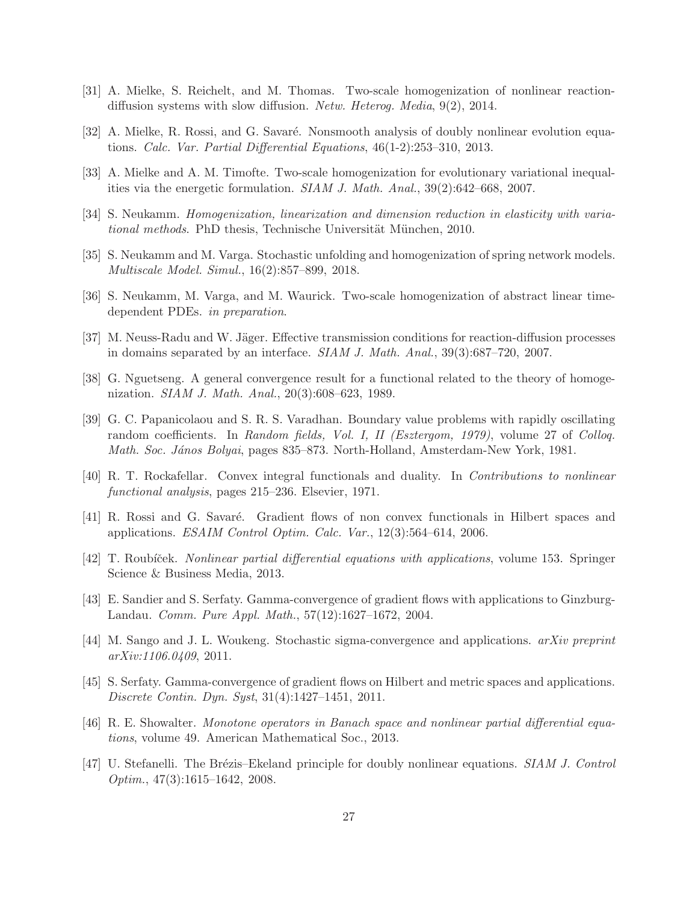- <span id="page-26-8"></span><span id="page-26-3"></span>[31] A. Mielke, S. Reichelt, and M. Thomas. Two-scale homogenization of nonlinear reactiondiffusion systems with slow diffusion. Netw. Heterog. Media, 9(2), 2014.
- <span id="page-26-6"></span>[32] A. Mielke, R. Rossi, and G. Savaré. Nonsmooth analysis of doubly nonlinear evolution equations. Calc. Var. Partial Differential Equations, 46(1-2):253–310, 2013.
- <span id="page-26-7"></span>[33] A. Mielke and A. M. Timofte. Two-scale homogenization for evolutionary variational inequalities via the energetic formulation. SIAM J. Math. Anal., 39(2):642–668, 2007.
- <span id="page-26-11"></span>[34] S. Neukamm. Homogenization, linearization and dimension reduction in elasticity with variational methods. PhD thesis, Technische Universität München, 2010.
- <span id="page-26-10"></span>[35] S. Neukamm and M. Varga. Stochastic unfolding and homogenization of spring network models. Multiscale Model. Simul., 16(2):857–899, 2018.
- <span id="page-26-12"></span>[36] S. Neukamm, M. Varga, and M. Waurick. Two-scale homogenization of abstract linear timedependent PDEs. in preparation.
- <span id="page-26-5"></span>[37] M. Neuss-Radu and W. Jäger. Effective transmission conditions for reaction-diffusion processes in domains separated by an interface. SIAM J. Math. Anal., 39(3):687–720, 2007.
- [38] G. Nguetseng. A general convergence result for a functional related to the theory of homogenization. SIAM J. Math. Anal., 20(3):608–623, 1989.
- <span id="page-26-13"></span>[39] G. C. Papanicolaou and S. R. S. Varadhan. Boundary value problems with rapidly oscillating random coefficients. In Random fields, Vol. I, II (Esztergom, 1979), volume 27 of Colloq. Math. Soc. János Bolyai, pages 835–873. North-Holland, Amsterdam-New York, 1981.
- <span id="page-26-15"></span><span id="page-26-14"></span>[40] R. T. Rockafellar. Convex integral functionals and duality. In Contributions to nonlinear functional analysis, pages 215–236. Elsevier, 1971.
- <span id="page-26-0"></span>[41] R. Rossi and G. Savaré. Gradient flows of non convex functionals in Hilbert spaces and applications. ESAIM Control Optim. Calc. Var., 12(3):564–614, 2006.
- <span id="page-26-1"></span>[42] T. Roubíček. *Nonlinear partial differential equations with applications*, volume 153. Springer Science & Business Media, 2013.
- <span id="page-26-9"></span>[43] E. Sandier and S. Serfaty. Gamma-convergence of gradient flows with applications to Ginzburg-Landau. Comm. Pure Appl. Math., 57(12):1627–1672, 2004.
- <span id="page-26-2"></span>[44] M. Sango and J. L. Woukeng. Stochastic sigma-convergence and applications. arXiv preprint arXiv:1106.0409, 2011.
- [45] S. Serfaty. Gamma-convergence of gradient flows on Hilbert and metric spaces and applications. Discrete Contin. Dyn. Syst, 31(4):1427–1451, 2011.
- <span id="page-26-16"></span><span id="page-26-4"></span>[46] R. E. Showalter. Monotone operators in Banach space and nonlinear partial differential equations, volume 49. American Mathematical Soc., 2013.
- [47] U. Stefanelli. The Brézis–Ekeland principle for doubly nonlinear equations. SIAM J. Control Optim., 47(3):1615–1642, 2008.